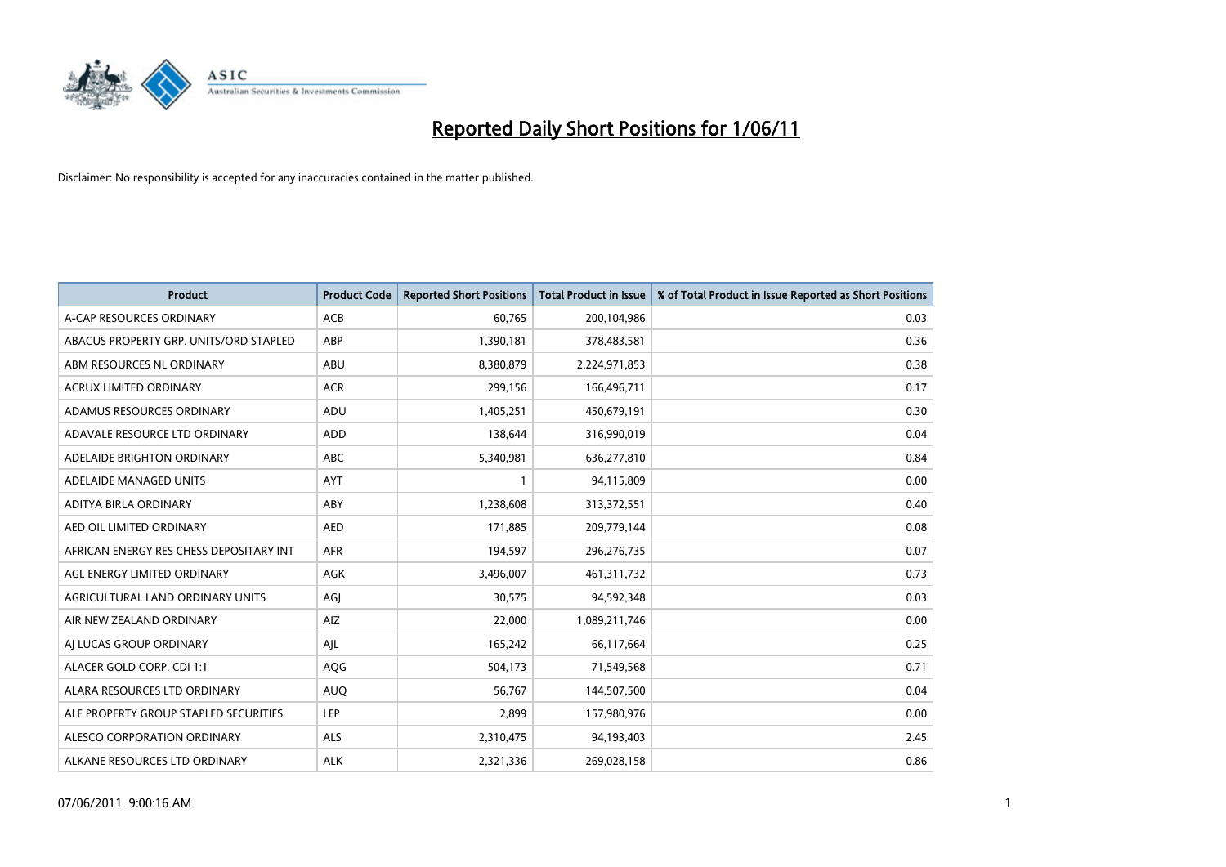

| <b>Product</b>                          | <b>Product Code</b> | <b>Reported Short Positions</b> | Total Product in Issue | % of Total Product in Issue Reported as Short Positions |
|-----------------------------------------|---------------------|---------------------------------|------------------------|---------------------------------------------------------|
| A-CAP RESOURCES ORDINARY                | <b>ACB</b>          | 60,765                          | 200,104,986            | 0.03                                                    |
| ABACUS PROPERTY GRP. UNITS/ORD STAPLED  | ABP                 | 1,390,181                       | 378,483,581            | 0.36                                                    |
| ABM RESOURCES NL ORDINARY               | ABU                 | 8,380,879                       | 2,224,971,853          | 0.38                                                    |
| ACRUX LIMITED ORDINARY                  | <b>ACR</b>          | 299,156                         | 166,496,711            | 0.17                                                    |
| ADAMUS RESOURCES ORDINARY               | ADU                 | 1,405,251                       | 450,679,191            | 0.30                                                    |
| ADAVALE RESOURCE LTD ORDINARY           | ADD                 | 138,644                         | 316,990,019            | 0.04                                                    |
| ADELAIDE BRIGHTON ORDINARY              | <b>ABC</b>          | 5,340,981                       | 636,277,810            | 0.84                                                    |
| ADELAIDE MANAGED UNITS                  | <b>AYT</b>          |                                 | 94,115,809             | 0.00                                                    |
| ADITYA BIRLA ORDINARY                   | ABY                 | 1,238,608                       | 313,372,551            | 0.40                                                    |
| AED OIL LIMITED ORDINARY                | <b>AED</b>          | 171,885                         | 209,779,144            | 0.08                                                    |
| AFRICAN ENERGY RES CHESS DEPOSITARY INT | <b>AFR</b>          | 194,597                         | 296,276,735            | 0.07                                                    |
| AGL ENERGY LIMITED ORDINARY             | <b>AGK</b>          | 3,496,007                       | 461,311,732            | 0.73                                                    |
| AGRICULTURAL LAND ORDINARY UNITS        | AGJ                 | 30,575                          | 94,592,348             | 0.03                                                    |
| AIR NEW ZEALAND ORDINARY                | AIZ                 | 22,000                          | 1,089,211,746          | 0.00                                                    |
| AI LUCAS GROUP ORDINARY                 | AJL                 | 165,242                         | 66,117,664             | 0.25                                                    |
| ALACER GOLD CORP. CDI 1:1               | AQG                 | 504,173                         | 71,549,568             | 0.71                                                    |
| ALARA RESOURCES LTD ORDINARY            | <b>AUO</b>          | 56,767                          | 144,507,500            | 0.04                                                    |
| ALE PROPERTY GROUP STAPLED SECURITIES   | <b>LEP</b>          | 2,899                           | 157,980,976            | 0.00                                                    |
| ALESCO CORPORATION ORDINARY             | <b>ALS</b>          | 2,310,475                       | 94,193,403             | 2.45                                                    |
| ALKANE RESOURCES LTD ORDINARY           | <b>ALK</b>          | 2,321,336                       | 269,028,158            | 0.86                                                    |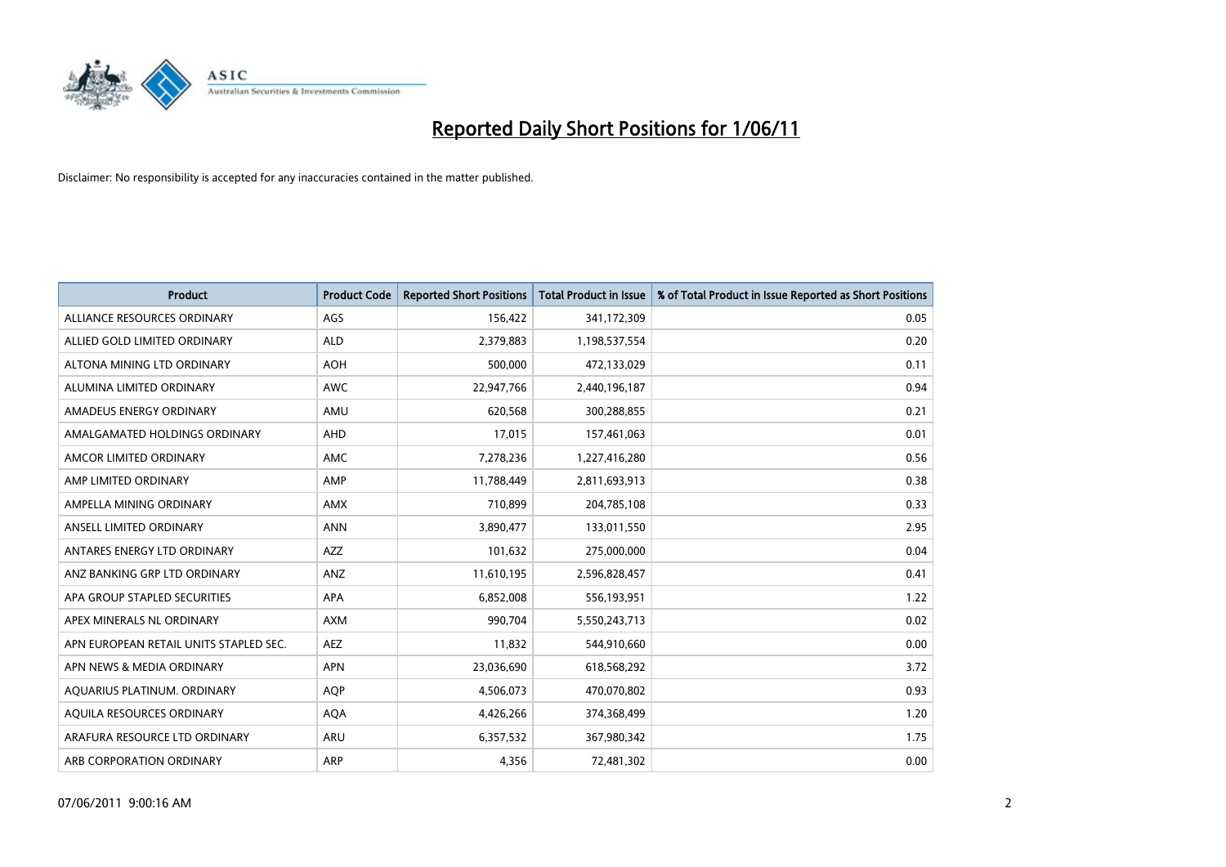

| <b>Product</b>                         | <b>Product Code</b> | <b>Reported Short Positions</b> | <b>Total Product in Issue</b> | % of Total Product in Issue Reported as Short Positions |
|----------------------------------------|---------------------|---------------------------------|-------------------------------|---------------------------------------------------------|
| ALLIANCE RESOURCES ORDINARY            | AGS                 | 156,422                         | 341,172,309                   | 0.05                                                    |
| ALLIED GOLD LIMITED ORDINARY           | <b>ALD</b>          | 2,379,883                       | 1,198,537,554                 | 0.20                                                    |
| ALTONA MINING LTD ORDINARY             | <b>AOH</b>          | 500.000                         | 472,133,029                   | 0.11                                                    |
| ALUMINA LIMITED ORDINARY               | <b>AWC</b>          | 22,947,766                      | 2,440,196,187                 | 0.94                                                    |
| AMADEUS ENERGY ORDINARY                | AMU                 | 620,568                         | 300,288,855                   | 0.21                                                    |
| AMALGAMATED HOLDINGS ORDINARY          | AHD                 | 17,015                          | 157,461,063                   | 0.01                                                    |
| AMCOR LIMITED ORDINARY                 | <b>AMC</b>          | 7,278,236                       | 1,227,416,280                 | 0.56                                                    |
| AMP LIMITED ORDINARY                   | AMP                 | 11,788,449                      | 2,811,693,913                 | 0.38                                                    |
| AMPELLA MINING ORDINARY                | <b>AMX</b>          | 710,899                         | 204,785,108                   | 0.33                                                    |
| ANSELL LIMITED ORDINARY                | <b>ANN</b>          | 3,890,477                       | 133,011,550                   | 2.95                                                    |
| ANTARES ENERGY LTD ORDINARY            | <b>AZZ</b>          | 101,632                         | 275,000,000                   | 0.04                                                    |
| ANZ BANKING GRP LTD ORDINARY           | ANZ                 | 11,610,195                      | 2,596,828,457                 | 0.41                                                    |
| APA GROUP STAPLED SECURITIES           | <b>APA</b>          | 6,852,008                       | 556,193,951                   | 1.22                                                    |
| APEX MINERALS NL ORDINARY              | <b>AXM</b>          | 990,704                         | 5,550,243,713                 | 0.02                                                    |
| APN EUROPEAN RETAIL UNITS STAPLED SEC. | <b>AEZ</b>          | 11,832                          | 544,910,660                   | 0.00                                                    |
| APN NEWS & MEDIA ORDINARY              | APN                 | 23,036,690                      | 618,568,292                   | 3.72                                                    |
| AQUARIUS PLATINUM. ORDINARY            | <b>AQP</b>          | 4,506,073                       | 470,070,802                   | 0.93                                                    |
| AQUILA RESOURCES ORDINARY              | <b>AQA</b>          | 4,426,266                       | 374,368,499                   | 1.20                                                    |
| ARAFURA RESOURCE LTD ORDINARY          | <b>ARU</b>          | 6,357,532                       | 367,980,342                   | 1.75                                                    |
| ARB CORPORATION ORDINARY               | ARP                 | 4.356                           | 72,481,302                    | 0.00                                                    |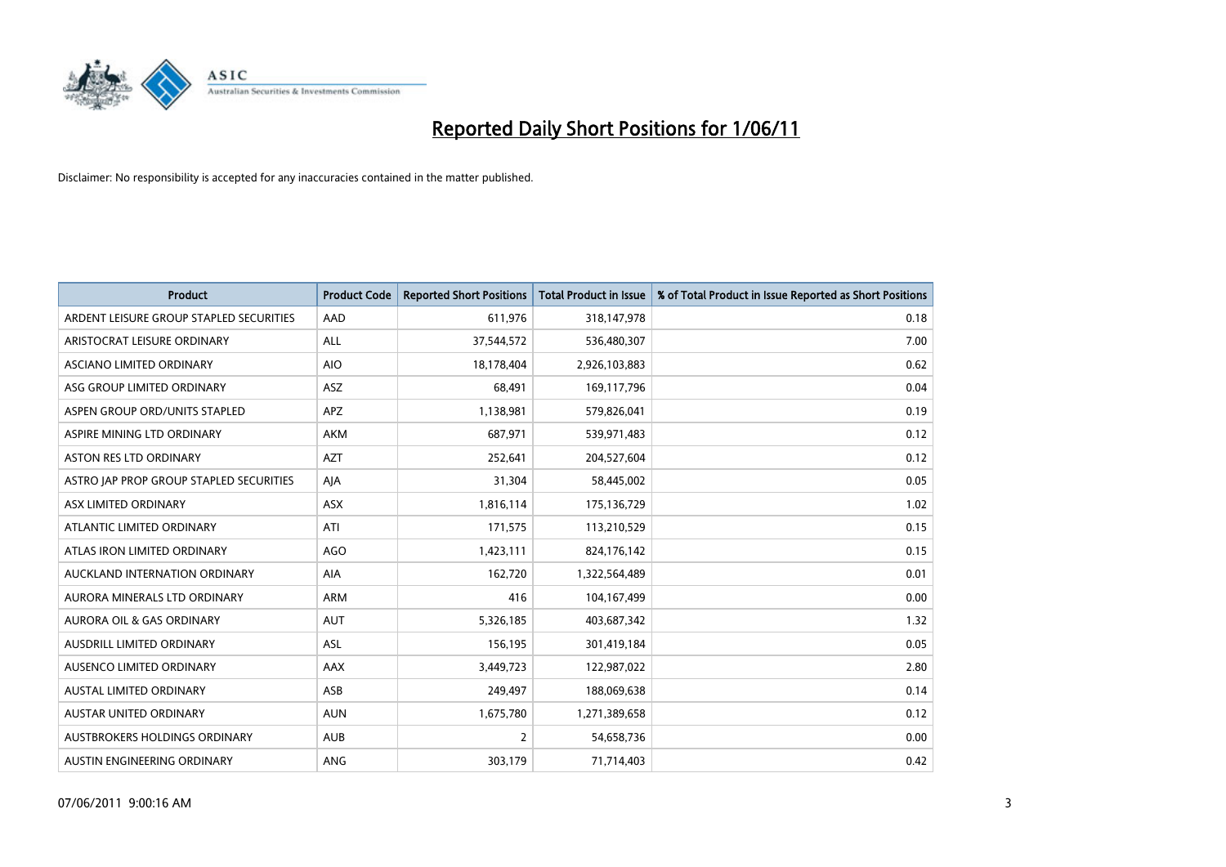

| <b>Product</b>                          | <b>Product Code</b> | <b>Reported Short Positions</b> | Total Product in Issue | % of Total Product in Issue Reported as Short Positions |
|-----------------------------------------|---------------------|---------------------------------|------------------------|---------------------------------------------------------|
| ARDENT LEISURE GROUP STAPLED SECURITIES | AAD                 | 611,976                         | 318,147,978            | 0.18                                                    |
| ARISTOCRAT LEISURE ORDINARY             | <b>ALL</b>          | 37,544,572                      | 536,480,307            | 7.00                                                    |
| <b>ASCIANO LIMITED ORDINARY</b>         | <b>AIO</b>          | 18,178,404                      | 2,926,103,883          | 0.62                                                    |
| ASG GROUP LIMITED ORDINARY              | ASZ                 | 68,491                          | 169,117,796            | 0.04                                                    |
| ASPEN GROUP ORD/UNITS STAPLED           | <b>APZ</b>          | 1,138,981                       | 579,826,041            | 0.19                                                    |
| ASPIRE MINING LTD ORDINARY              | <b>AKM</b>          | 687,971                         | 539,971,483            | 0.12                                                    |
| <b>ASTON RES LTD ORDINARY</b>           | <b>AZT</b>          | 252,641                         | 204,527,604            | 0.12                                                    |
| ASTRO JAP PROP GROUP STAPLED SECURITIES | AJA                 | 31,304                          | 58,445,002             | 0.05                                                    |
| ASX LIMITED ORDINARY                    | <b>ASX</b>          | 1,816,114                       | 175,136,729            | 1.02                                                    |
| ATLANTIC LIMITED ORDINARY               | ATI                 | 171,575                         | 113,210,529            | 0.15                                                    |
| ATLAS IRON LIMITED ORDINARY             | <b>AGO</b>          | 1,423,111                       | 824,176,142            | 0.15                                                    |
| AUCKLAND INTERNATION ORDINARY           | AIA                 | 162,720                         | 1,322,564,489          | 0.01                                                    |
| AURORA MINERALS LTD ORDINARY            | <b>ARM</b>          | 416                             | 104,167,499            | 0.00                                                    |
| <b>AURORA OIL &amp; GAS ORDINARY</b>    | <b>AUT</b>          | 5,326,185                       | 403,687,342            | 1.32                                                    |
| AUSDRILL LIMITED ORDINARY               | ASL                 | 156,195                         | 301,419,184            | 0.05                                                    |
| AUSENCO LIMITED ORDINARY                | <b>AAX</b>          | 3,449,723                       | 122,987,022            | 2.80                                                    |
| <b>AUSTAL LIMITED ORDINARY</b>          | ASB                 | 249,497                         | 188,069,638            | 0.14                                                    |
| AUSTAR UNITED ORDINARY                  | <b>AUN</b>          | 1,675,780                       | 1,271,389,658          | 0.12                                                    |
| <b>AUSTBROKERS HOLDINGS ORDINARY</b>    | <b>AUB</b>          | $\overline{2}$                  | 54,658,736             | 0.00                                                    |
| AUSTIN ENGINEERING ORDINARY             | ANG                 | 303,179                         | 71,714,403             | 0.42                                                    |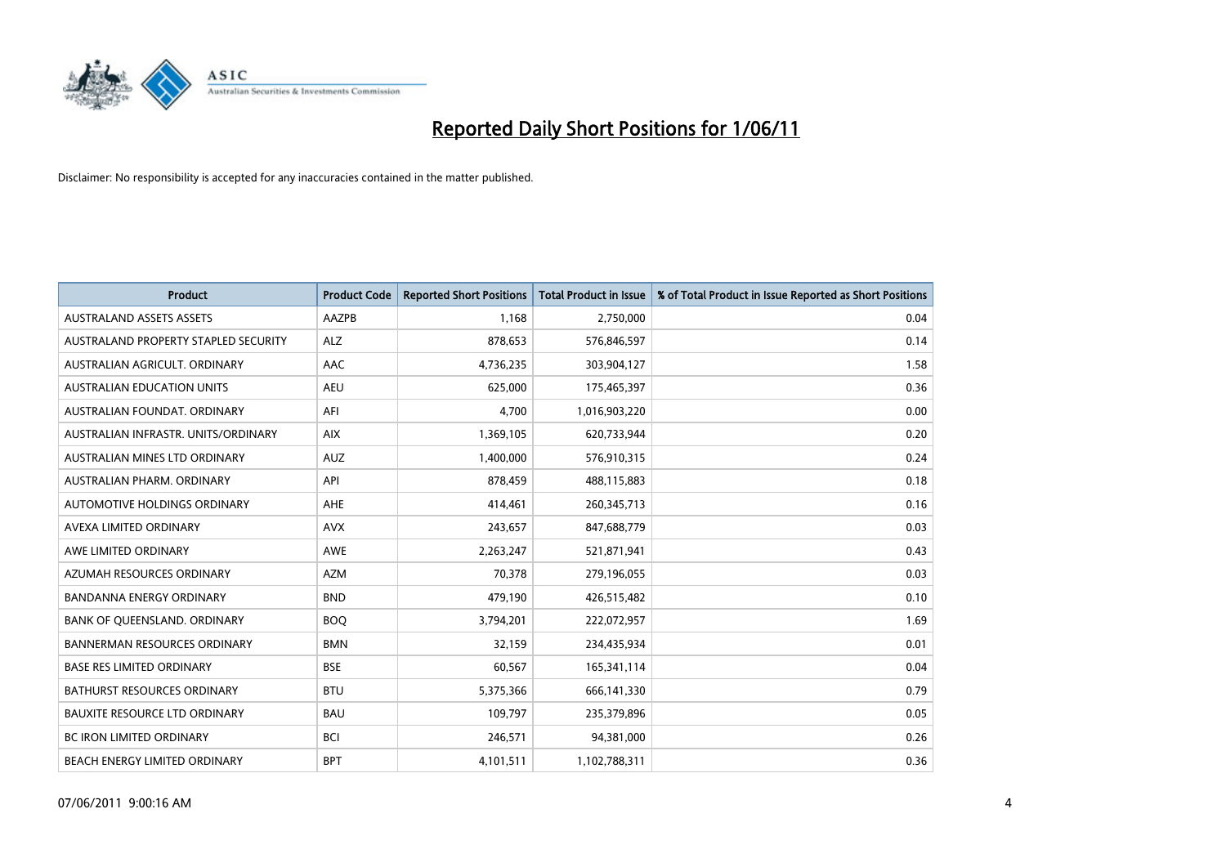

| <b>Product</b>                       | <b>Product Code</b> | <b>Reported Short Positions</b> | <b>Total Product in Issue</b> | % of Total Product in Issue Reported as Short Positions |
|--------------------------------------|---------------------|---------------------------------|-------------------------------|---------------------------------------------------------|
| <b>AUSTRALAND ASSETS ASSETS</b>      | AAZPB               | 1,168                           | 2,750,000                     | 0.04                                                    |
| AUSTRALAND PROPERTY STAPLED SECURITY | <b>ALZ</b>          | 878,653                         | 576,846,597                   | 0.14                                                    |
| AUSTRALIAN AGRICULT, ORDINARY        | AAC                 | 4,736,235                       | 303,904,127                   | 1.58                                                    |
| AUSTRALIAN EDUCATION UNITS           | <b>AEU</b>          | 625,000                         | 175,465,397                   | 0.36                                                    |
| AUSTRALIAN FOUNDAT, ORDINARY         | AFI                 | 4,700                           | 1,016,903,220                 | 0.00                                                    |
| AUSTRALIAN INFRASTR, UNITS/ORDINARY  | <b>AIX</b>          | 1,369,105                       | 620,733,944                   | 0.20                                                    |
| AUSTRALIAN MINES LTD ORDINARY        | <b>AUZ</b>          | 1,400,000                       | 576,910,315                   | 0.24                                                    |
| AUSTRALIAN PHARM, ORDINARY           | API                 | 878,459                         | 488,115,883                   | 0.18                                                    |
| AUTOMOTIVE HOLDINGS ORDINARY         | <b>AHE</b>          | 414,461                         | 260,345,713                   | 0.16                                                    |
| AVEXA LIMITED ORDINARY               | <b>AVX</b>          | 243,657                         | 847,688,779                   | 0.03                                                    |
| AWE LIMITED ORDINARY                 | <b>AWE</b>          | 2,263,247                       | 521,871,941                   | 0.43                                                    |
| AZUMAH RESOURCES ORDINARY            | <b>AZM</b>          | 70,378                          | 279,196,055                   | 0.03                                                    |
| <b>BANDANNA ENERGY ORDINARY</b>      | <b>BND</b>          | 479,190                         | 426,515,482                   | 0.10                                                    |
| BANK OF QUEENSLAND. ORDINARY         | <b>BOO</b>          | 3,794,201                       | 222,072,957                   | 1.69                                                    |
| <b>BANNERMAN RESOURCES ORDINARY</b>  | <b>BMN</b>          | 32,159                          | 234,435,934                   | 0.01                                                    |
| <b>BASE RES LIMITED ORDINARY</b>     | <b>BSE</b>          | 60,567                          | 165,341,114                   | 0.04                                                    |
| <b>BATHURST RESOURCES ORDINARY</b>   | <b>BTU</b>          | 5,375,366                       | 666,141,330                   | 0.79                                                    |
| <b>BAUXITE RESOURCE LTD ORDINARY</b> | <b>BAU</b>          | 109,797                         | 235,379,896                   | 0.05                                                    |
| <b>BC IRON LIMITED ORDINARY</b>      | <b>BCI</b>          | 246,571                         | 94,381,000                    | 0.26                                                    |
| BEACH ENERGY LIMITED ORDINARY        | <b>BPT</b>          | 4,101,511                       | 1,102,788,311                 | 0.36                                                    |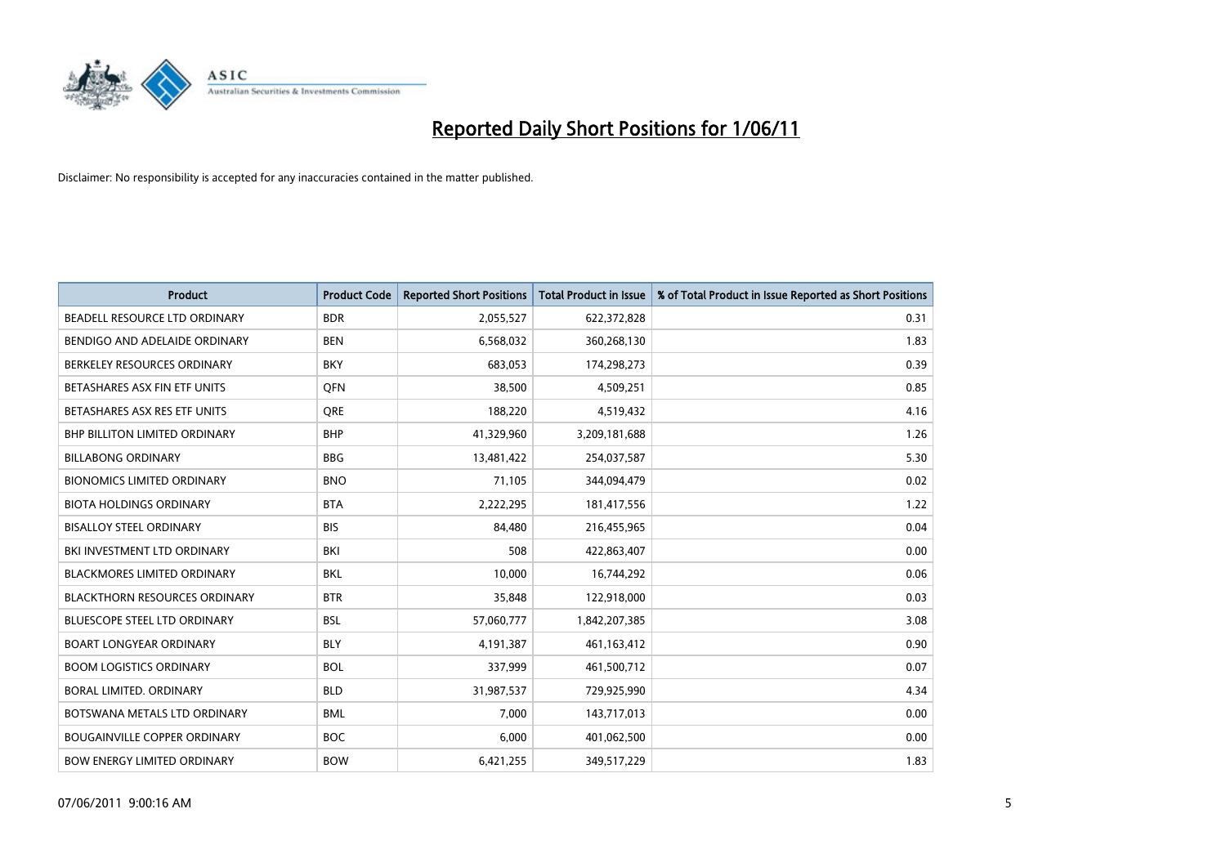

| <b>Product</b>                       | <b>Product Code</b> | <b>Reported Short Positions</b> | <b>Total Product in Issue</b> | % of Total Product in Issue Reported as Short Positions |
|--------------------------------------|---------------------|---------------------------------|-------------------------------|---------------------------------------------------------|
| BEADELL RESOURCE LTD ORDINARY        | <b>BDR</b>          | 2,055,527                       | 622,372,828                   | 0.31                                                    |
| BENDIGO AND ADELAIDE ORDINARY        | <b>BEN</b>          | 6,568,032                       | 360,268,130                   | 1.83                                                    |
| BERKELEY RESOURCES ORDINARY          | <b>BKY</b>          | 683.053                         | 174,298,273                   | 0.39                                                    |
| BETASHARES ASX FIN ETF UNITS         | <b>OFN</b>          | 38,500                          | 4,509,251                     | 0.85                                                    |
| BETASHARES ASX RES ETF UNITS         | <b>ORE</b>          | 188,220                         | 4,519,432                     | 4.16                                                    |
| <b>BHP BILLITON LIMITED ORDINARY</b> | <b>BHP</b>          | 41,329,960                      | 3,209,181,688                 | 1.26                                                    |
| <b>BILLABONG ORDINARY</b>            | <b>BBG</b>          | 13,481,422                      | 254,037,587                   | 5.30                                                    |
| <b>BIONOMICS LIMITED ORDINARY</b>    | <b>BNO</b>          | 71,105                          | 344,094,479                   | 0.02                                                    |
| <b>BIOTA HOLDINGS ORDINARY</b>       | <b>BTA</b>          | 2,222,295                       | 181,417,556                   | 1.22                                                    |
| <b>BISALLOY STEEL ORDINARY</b>       | <b>BIS</b>          | 84,480                          | 216,455,965                   | 0.04                                                    |
| BKI INVESTMENT LTD ORDINARY          | BKI                 | 508                             | 422,863,407                   | 0.00                                                    |
| <b>BLACKMORES LIMITED ORDINARY</b>   | <b>BKL</b>          | 10,000                          | 16,744,292                    | 0.06                                                    |
| <b>BLACKTHORN RESOURCES ORDINARY</b> | <b>BTR</b>          | 35,848                          | 122,918,000                   | 0.03                                                    |
| BLUESCOPE STEEL LTD ORDINARY         | <b>BSL</b>          | 57,060,777                      | 1,842,207,385                 | 3.08                                                    |
| <b>BOART LONGYEAR ORDINARY</b>       | <b>BLY</b>          | 4,191,387                       | 461,163,412                   | 0.90                                                    |
| <b>BOOM LOGISTICS ORDINARY</b>       | <b>BOL</b>          | 337,999                         | 461,500,712                   | 0.07                                                    |
| BORAL LIMITED. ORDINARY              | <b>BLD</b>          | 31,987,537                      | 729,925,990                   | 4.34                                                    |
| BOTSWANA METALS LTD ORDINARY         | <b>BML</b>          | 7,000                           | 143,717,013                   | 0.00                                                    |
| <b>BOUGAINVILLE COPPER ORDINARY</b>  | <b>BOC</b>          | 6,000                           | 401,062,500                   | 0.00                                                    |
| <b>BOW ENERGY LIMITED ORDINARY</b>   | <b>BOW</b>          | 6,421,255                       | 349,517,229                   | 1.83                                                    |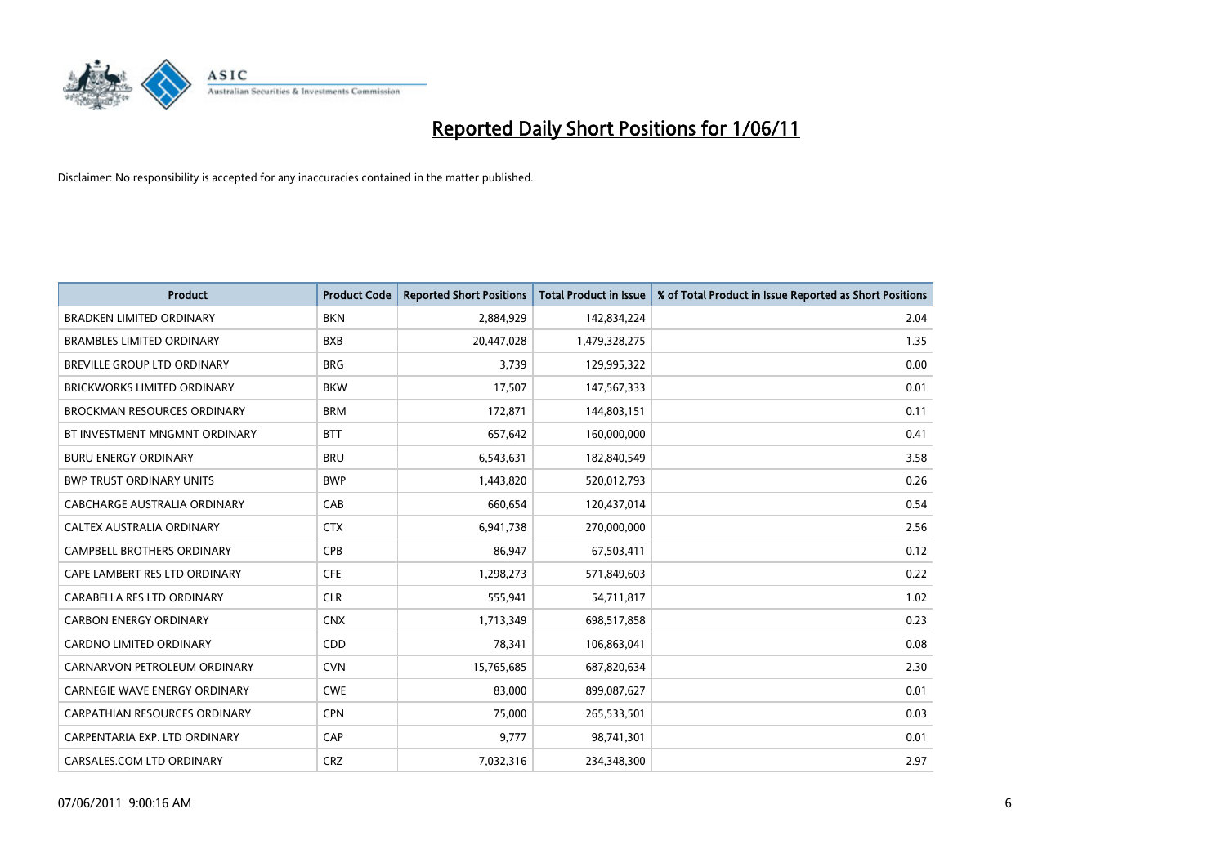

| <b>Product</b>                       | <b>Product Code</b> | <b>Reported Short Positions</b> | <b>Total Product in Issue</b> | % of Total Product in Issue Reported as Short Positions |
|--------------------------------------|---------------------|---------------------------------|-------------------------------|---------------------------------------------------------|
| <b>BRADKEN LIMITED ORDINARY</b>      | <b>BKN</b>          | 2,884,929                       | 142,834,224                   | 2.04                                                    |
| <b>BRAMBLES LIMITED ORDINARY</b>     | <b>BXB</b>          | 20,447,028                      | 1,479,328,275                 | 1.35                                                    |
| <b>BREVILLE GROUP LTD ORDINARY</b>   | <b>BRG</b>          | 3,739                           | 129,995,322                   | 0.00                                                    |
| <b>BRICKWORKS LIMITED ORDINARY</b>   | <b>BKW</b>          | 17,507                          | 147,567,333                   | 0.01                                                    |
| <b>BROCKMAN RESOURCES ORDINARY</b>   | <b>BRM</b>          | 172,871                         | 144,803,151                   | 0.11                                                    |
| BT INVESTMENT MNGMNT ORDINARY        | <b>BTT</b>          | 657,642                         | 160,000,000                   | 0.41                                                    |
| <b>BURU ENERGY ORDINARY</b>          | <b>BRU</b>          | 6,543,631                       | 182,840,549                   | 3.58                                                    |
| <b>BWP TRUST ORDINARY UNITS</b>      | <b>BWP</b>          | 1,443,820                       | 520,012,793                   | 0.26                                                    |
| CABCHARGE AUSTRALIA ORDINARY         | CAB                 | 660,654                         | 120,437,014                   | 0.54                                                    |
| CALTEX AUSTRALIA ORDINARY            | <b>CTX</b>          | 6,941,738                       | 270,000,000                   | 2.56                                                    |
| <b>CAMPBELL BROTHERS ORDINARY</b>    | <b>CPB</b>          | 86,947                          | 67,503,411                    | 0.12                                                    |
| CAPE LAMBERT RES LTD ORDINARY        | <b>CFE</b>          | 1,298,273                       | 571,849,603                   | 0.22                                                    |
| CARABELLA RES LTD ORDINARY           | <b>CLR</b>          | 555,941                         | 54,711,817                    | 1.02                                                    |
| <b>CARBON ENERGY ORDINARY</b>        | <b>CNX</b>          | 1,713,349                       | 698,517,858                   | 0.23                                                    |
| <b>CARDNO LIMITED ORDINARY</b>       | CDD                 | 78,341                          | 106,863,041                   | 0.08                                                    |
| CARNARVON PETROLEUM ORDINARY         | <b>CVN</b>          | 15,765,685                      | 687,820,634                   | 2.30                                                    |
| <b>CARNEGIE WAVE ENERGY ORDINARY</b> | <b>CWE</b>          | 83,000                          | 899,087,627                   | 0.01                                                    |
| CARPATHIAN RESOURCES ORDINARY        | <b>CPN</b>          | 75,000                          | 265,533,501                   | 0.03                                                    |
| CARPENTARIA EXP. LTD ORDINARY        | CAP                 | 9,777                           | 98,741,301                    | 0.01                                                    |
| CARSALES.COM LTD ORDINARY            | <b>CRZ</b>          | 7,032,316                       | 234,348,300                   | 2.97                                                    |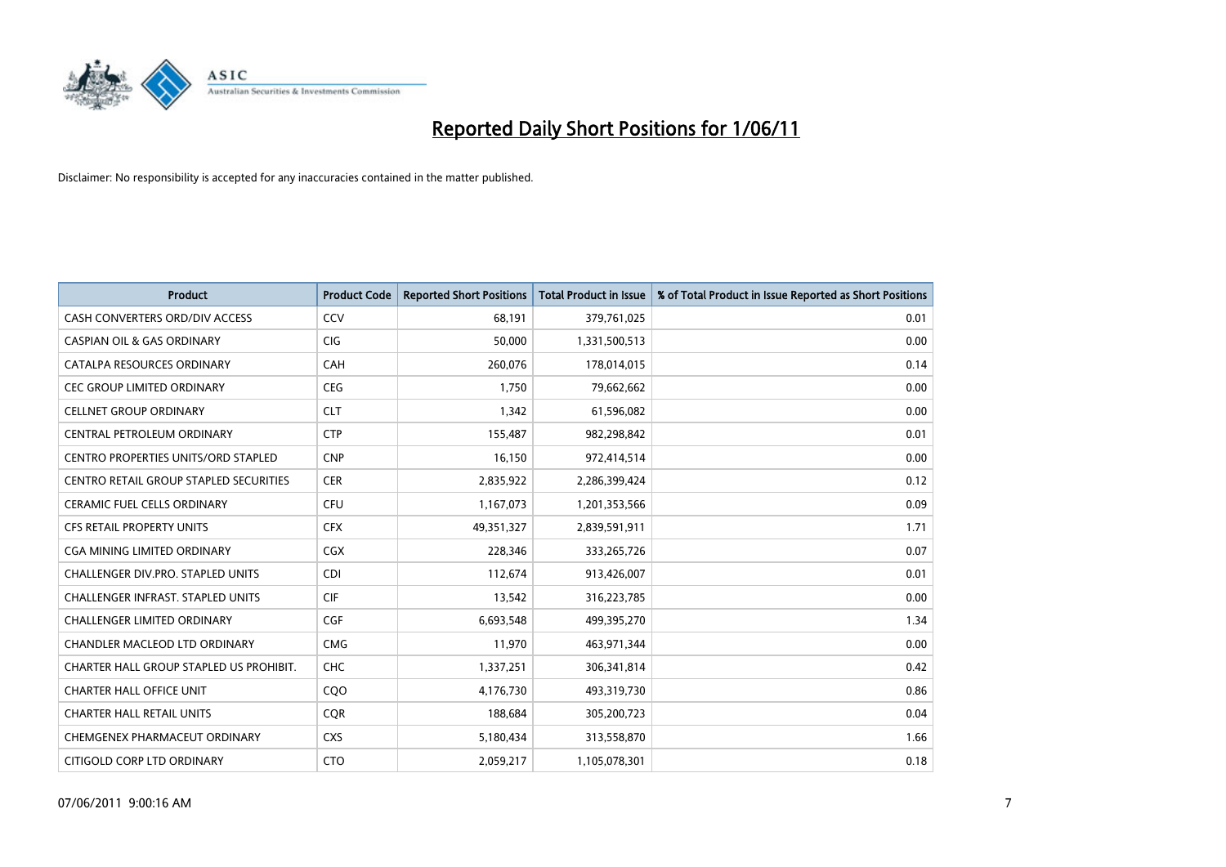

| <b>Product</b>                                | <b>Product Code</b> | <b>Reported Short Positions</b> | Total Product in Issue | % of Total Product in Issue Reported as Short Positions |
|-----------------------------------------------|---------------------|---------------------------------|------------------------|---------------------------------------------------------|
| CASH CONVERTERS ORD/DIV ACCESS                | CCV                 | 68,191                          | 379,761,025            | 0.01                                                    |
| <b>CASPIAN OIL &amp; GAS ORDINARY</b>         | <b>CIG</b>          | 50,000                          | 1,331,500,513          | 0.00                                                    |
| CATALPA RESOURCES ORDINARY                    | <b>CAH</b>          | 260,076                         | 178,014,015            | 0.14                                                    |
| <b>CEC GROUP LIMITED ORDINARY</b>             | <b>CEG</b>          | 1,750                           | 79,662,662             | 0.00                                                    |
| <b>CELLNET GROUP ORDINARY</b>                 | <b>CLT</b>          | 1,342                           | 61,596,082             | 0.00                                                    |
| CENTRAL PETROLEUM ORDINARY                    | <b>CTP</b>          | 155,487                         | 982,298,842            | 0.01                                                    |
| <b>CENTRO PROPERTIES UNITS/ORD STAPLED</b>    | <b>CNP</b>          | 16,150                          | 972,414,514            | 0.00                                                    |
| <b>CENTRO RETAIL GROUP STAPLED SECURITIES</b> | <b>CER</b>          | 2,835,922                       | 2,286,399,424          | 0.12                                                    |
| CERAMIC FUEL CELLS ORDINARY                   | <b>CFU</b>          | 1,167,073                       | 1,201,353,566          | 0.09                                                    |
| <b>CFS RETAIL PROPERTY UNITS</b>              | <b>CFX</b>          | 49,351,327                      | 2,839,591,911          | 1.71                                                    |
| CGA MINING LIMITED ORDINARY                   | <b>CGX</b>          | 228,346                         | 333,265,726            | 0.07                                                    |
| <b>CHALLENGER DIV.PRO. STAPLED UNITS</b>      | <b>CDI</b>          | 112,674                         | 913,426,007            | 0.01                                                    |
| <b>CHALLENGER INFRAST, STAPLED UNITS</b>      | <b>CIF</b>          | 13,542                          | 316,223,785            | 0.00                                                    |
| <b>CHALLENGER LIMITED ORDINARY</b>            | CGF                 | 6,693,548                       | 499,395,270            | 1.34                                                    |
| CHANDLER MACLEOD LTD ORDINARY                 | <b>CMG</b>          | 11,970                          | 463,971,344            | 0.00                                                    |
| CHARTER HALL GROUP STAPLED US PROHIBIT.       | <b>CHC</b>          | 1,337,251                       | 306,341,814            | 0.42                                                    |
| <b>CHARTER HALL OFFICE UNIT</b>               | CQO                 | 4,176,730                       | 493,319,730            | 0.86                                                    |
| <b>CHARTER HALL RETAIL UNITS</b>              | <b>CQR</b>          | 188,684                         | 305,200,723            | 0.04                                                    |
| CHEMGENEX PHARMACEUT ORDINARY                 | <b>CXS</b>          | 5,180,434                       | 313,558,870            | 1.66                                                    |
| CITIGOLD CORP LTD ORDINARY                    | <b>CTO</b>          | 2,059,217                       | 1,105,078,301          | 0.18                                                    |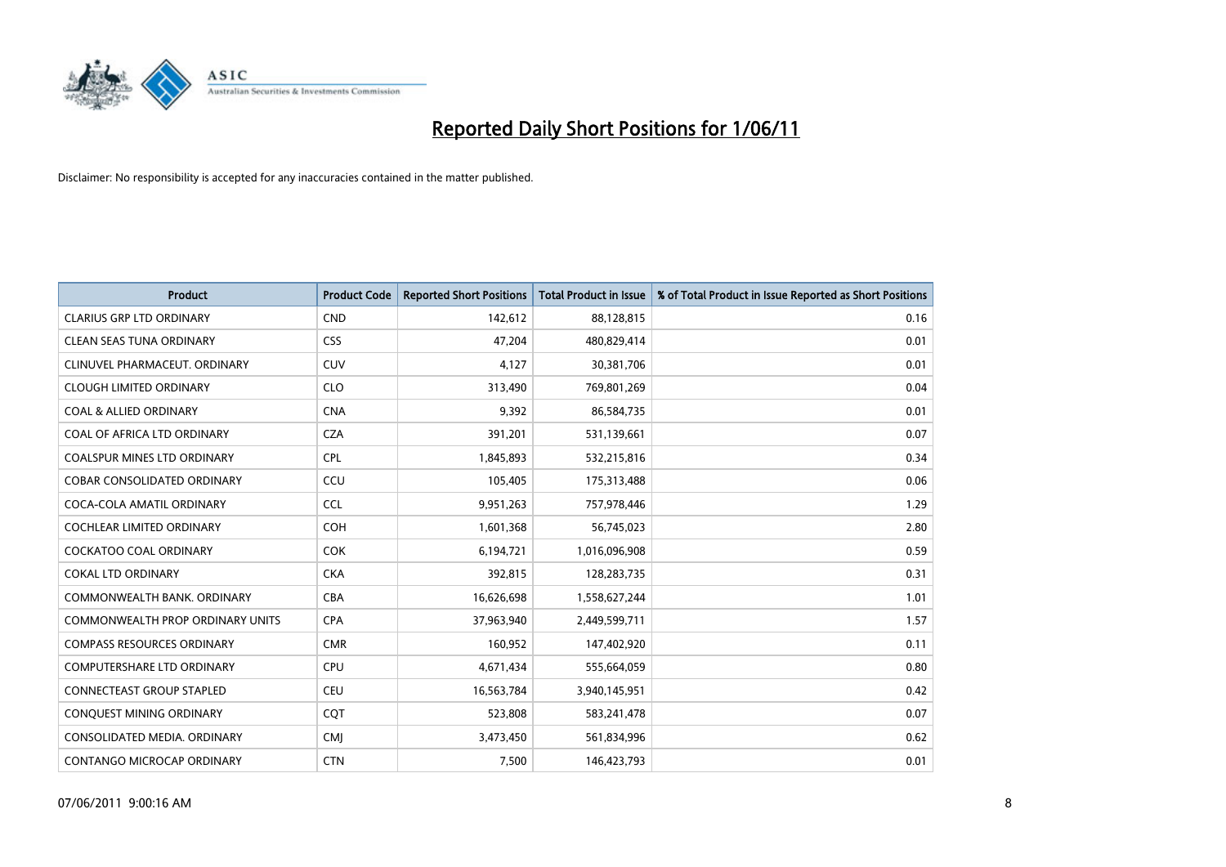

| <b>Product</b>                          | <b>Product Code</b> | <b>Reported Short Positions</b> | Total Product in Issue | % of Total Product in Issue Reported as Short Positions |
|-----------------------------------------|---------------------|---------------------------------|------------------------|---------------------------------------------------------|
| <b>CLARIUS GRP LTD ORDINARY</b>         | <b>CND</b>          | 142,612                         | 88,128,815             | 0.16                                                    |
| <b>CLEAN SEAS TUNA ORDINARY</b>         | <b>CSS</b>          | 47,204                          | 480,829,414            | 0.01                                                    |
| CLINUVEL PHARMACEUT, ORDINARY           | <b>CUV</b>          | 4,127                           | 30,381,706             | 0.01                                                    |
| <b>CLOUGH LIMITED ORDINARY</b>          | <b>CLO</b>          | 313,490                         | 769,801,269            | 0.04                                                    |
| <b>COAL &amp; ALLIED ORDINARY</b>       | <b>CNA</b>          | 9,392                           | 86,584,735             | 0.01                                                    |
| COAL OF AFRICA LTD ORDINARY             | <b>CZA</b>          | 391,201                         | 531,139,661            | 0.07                                                    |
| <b>COALSPUR MINES LTD ORDINARY</b>      | <b>CPL</b>          | 1,845,893                       | 532,215,816            | 0.34                                                    |
| COBAR CONSOLIDATED ORDINARY             | CCU                 | 105,405                         | 175,313,488            | 0.06                                                    |
| COCA-COLA AMATIL ORDINARY               | <b>CCL</b>          | 9,951,263                       | 757,978,446            | 1.29                                                    |
| <b>COCHLEAR LIMITED ORDINARY</b>        | <b>COH</b>          | 1,601,368                       | 56,745,023             | 2.80                                                    |
| <b>COCKATOO COAL ORDINARY</b>           | <b>COK</b>          | 6,194,721                       | 1,016,096,908          | 0.59                                                    |
| <b>COKAL LTD ORDINARY</b>               | <b>CKA</b>          | 392,815                         | 128,283,735            | 0.31                                                    |
| COMMONWEALTH BANK, ORDINARY             | CBA                 | 16,626,698                      | 1,558,627,244          | 1.01                                                    |
| <b>COMMONWEALTH PROP ORDINARY UNITS</b> | <b>CPA</b>          | 37,963,940                      | 2,449,599,711          | 1.57                                                    |
| <b>COMPASS RESOURCES ORDINARY</b>       | <b>CMR</b>          | 160,952                         | 147,402,920            | 0.11                                                    |
| <b>COMPUTERSHARE LTD ORDINARY</b>       | <b>CPU</b>          | 4,671,434                       | 555,664,059            | 0.80                                                    |
| <b>CONNECTEAST GROUP STAPLED</b>        | <b>CEU</b>          | 16,563,784                      | 3,940,145,951          | 0.42                                                    |
| CONQUEST MINING ORDINARY                | CQT                 | 523,808                         | 583,241,478            | 0.07                                                    |
| CONSOLIDATED MEDIA, ORDINARY            | <b>CMI</b>          | 3,473,450                       | 561,834,996            | 0.62                                                    |
| CONTANGO MICROCAP ORDINARY              | <b>CTN</b>          | 7,500                           | 146,423,793            | 0.01                                                    |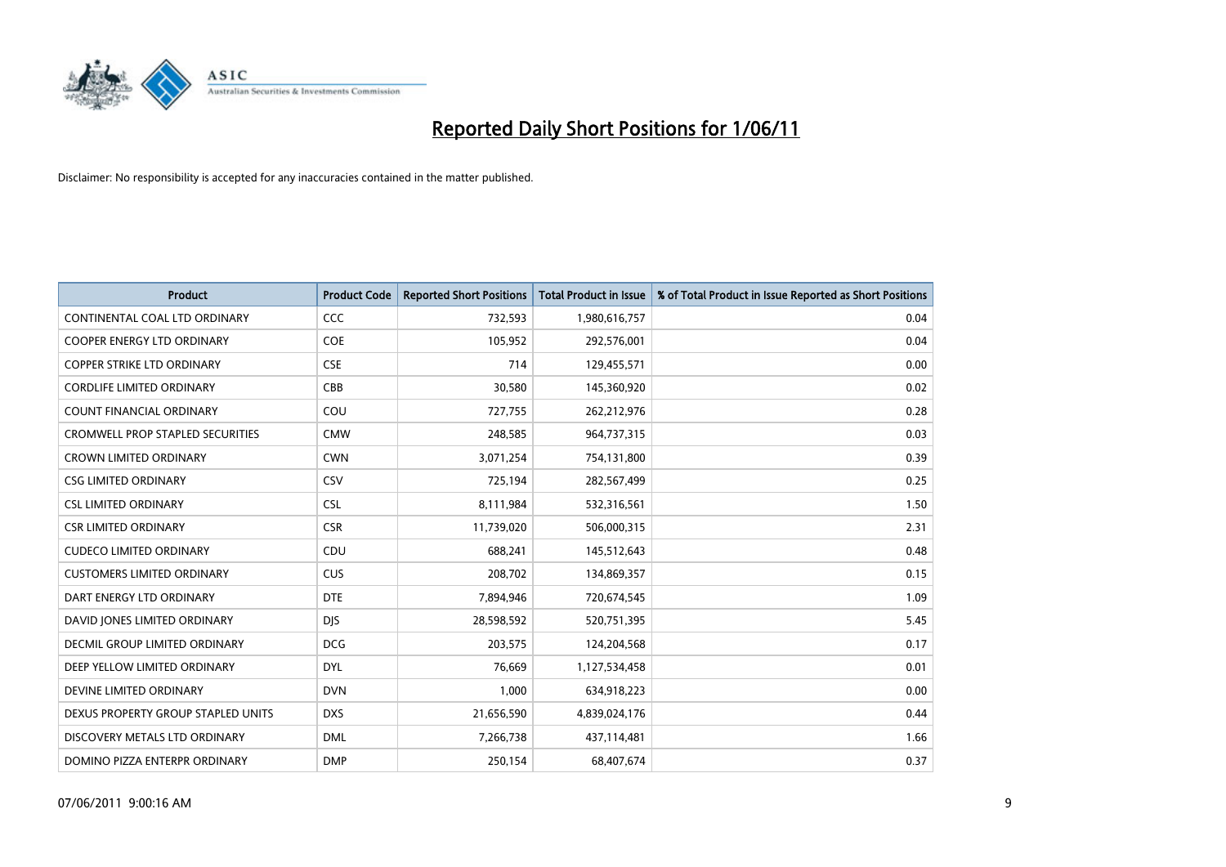

| <b>Product</b>                          | <b>Product Code</b> | <b>Reported Short Positions</b> | <b>Total Product in Issue</b> | % of Total Product in Issue Reported as Short Positions |
|-----------------------------------------|---------------------|---------------------------------|-------------------------------|---------------------------------------------------------|
| CONTINENTAL COAL LTD ORDINARY           | <b>CCC</b>          | 732,593                         | 1,980,616,757                 | 0.04                                                    |
| COOPER ENERGY LTD ORDINARY              | <b>COE</b>          | 105,952                         | 292,576,001                   | 0.04                                                    |
| <b>COPPER STRIKE LTD ORDINARY</b>       | <b>CSE</b>          | 714                             | 129,455,571                   | 0.00                                                    |
| <b>CORDLIFE LIMITED ORDINARY</b>        | CBB                 | 30,580                          | 145,360,920                   | 0.02                                                    |
| <b>COUNT FINANCIAL ORDINARY</b>         | COU                 | 727,755                         | 262,212,976                   | 0.28                                                    |
| <b>CROMWELL PROP STAPLED SECURITIES</b> | <b>CMW</b>          | 248,585                         | 964,737,315                   | 0.03                                                    |
| <b>CROWN LIMITED ORDINARY</b>           | <b>CWN</b>          | 3,071,254                       | 754,131,800                   | 0.39                                                    |
| <b>CSG LIMITED ORDINARY</b>             | CSV                 | 725,194                         | 282,567,499                   | 0.25                                                    |
| <b>CSL LIMITED ORDINARY</b>             | <b>CSL</b>          | 8,111,984                       | 532,316,561                   | 1.50                                                    |
| <b>CSR LIMITED ORDINARY</b>             | <b>CSR</b>          | 11,739,020                      | 506,000,315                   | 2.31                                                    |
| <b>CUDECO LIMITED ORDINARY</b>          | CDU                 | 688,241                         | 145,512,643                   | 0.48                                                    |
| <b>CUSTOMERS LIMITED ORDINARY</b>       | CUS                 | 208,702                         | 134,869,357                   | 0.15                                                    |
| DART ENERGY LTD ORDINARY                | <b>DTE</b>          | 7,894,946                       | 720,674,545                   | 1.09                                                    |
| DAVID JONES LIMITED ORDINARY            | <b>DJS</b>          | 28,598,592                      | 520,751,395                   | 5.45                                                    |
| DECMIL GROUP LIMITED ORDINARY           | <b>DCG</b>          | 203,575                         | 124,204,568                   | 0.17                                                    |
| DEEP YELLOW LIMITED ORDINARY            | <b>DYL</b>          | 76,669                          | 1,127,534,458                 | 0.01                                                    |
| DEVINE LIMITED ORDINARY                 | <b>DVN</b>          | 1,000                           | 634,918,223                   | 0.00                                                    |
| DEXUS PROPERTY GROUP STAPLED UNITS      | <b>DXS</b>          | 21,656,590                      | 4,839,024,176                 | 0.44                                                    |
| DISCOVERY METALS LTD ORDINARY           | <b>DML</b>          | 7,266,738                       | 437,114,481                   | 1.66                                                    |
| DOMINO PIZZA ENTERPR ORDINARY           | <b>DMP</b>          | 250,154                         | 68,407,674                    | 0.37                                                    |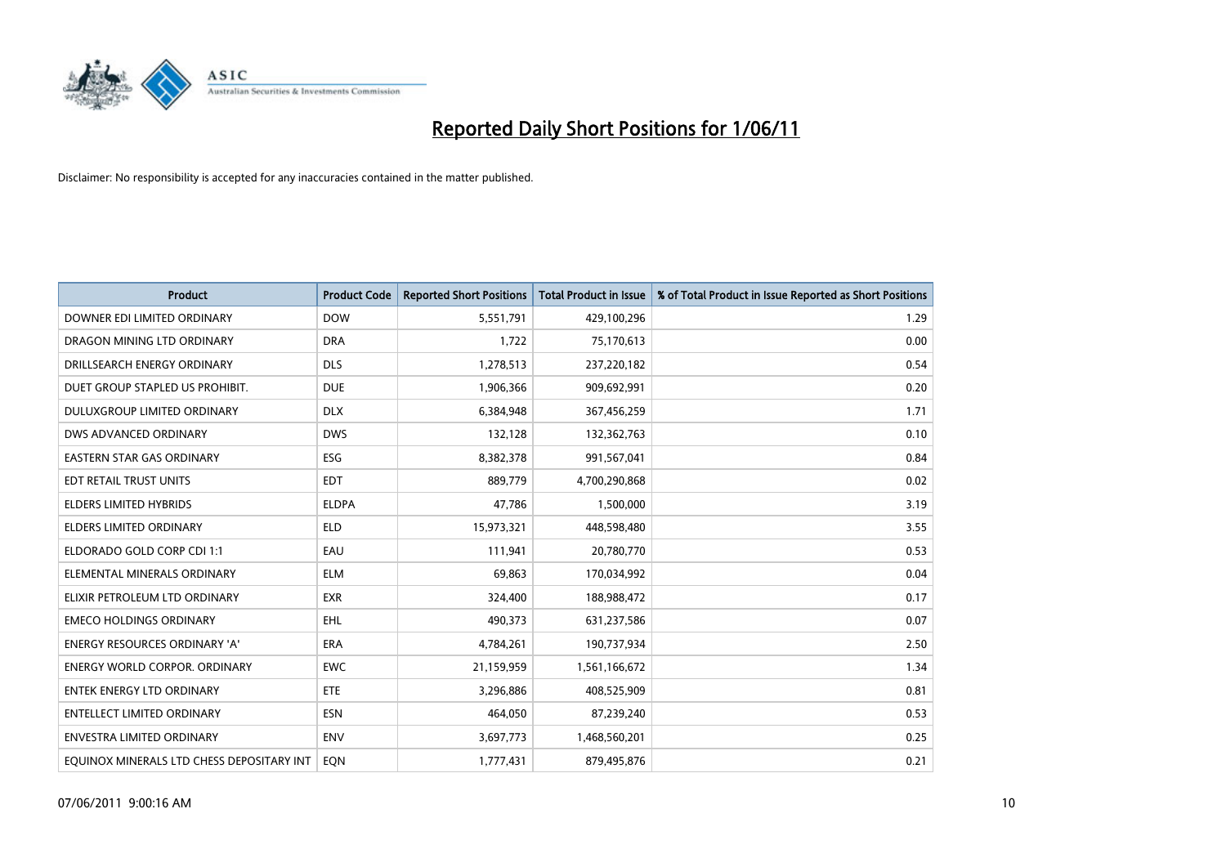

| <b>Product</b>                            | <b>Product Code</b> | <b>Reported Short Positions</b> | <b>Total Product in Issue</b> | % of Total Product in Issue Reported as Short Positions |
|-------------------------------------------|---------------------|---------------------------------|-------------------------------|---------------------------------------------------------|
| DOWNER EDI LIMITED ORDINARY               | <b>DOW</b>          | 5,551,791                       | 429,100,296                   | 1.29                                                    |
| DRAGON MINING LTD ORDINARY                | <b>DRA</b>          | 1,722                           | 75,170,613                    | 0.00                                                    |
| DRILLSEARCH ENERGY ORDINARY               | <b>DLS</b>          | 1,278,513                       | 237,220,182                   | 0.54                                                    |
| DUET GROUP STAPLED US PROHIBIT.           | <b>DUE</b>          | 1,906,366                       | 909,692,991                   | 0.20                                                    |
| DULUXGROUP LIMITED ORDINARY               | <b>DLX</b>          | 6,384,948                       | 367,456,259                   | 1.71                                                    |
| DWS ADVANCED ORDINARY                     | <b>DWS</b>          | 132,128                         | 132,362,763                   | 0.10                                                    |
| <b>EASTERN STAR GAS ORDINARY</b>          | ESG                 | 8,382,378                       | 991,567,041                   | 0.84                                                    |
| EDT RETAIL TRUST UNITS                    | <b>EDT</b>          | 889,779                         | 4,700,290,868                 | 0.02                                                    |
| ELDERS LIMITED HYBRIDS                    | <b>ELDPA</b>        | 47,786                          | 1,500,000                     | 3.19                                                    |
| <b>ELDERS LIMITED ORDINARY</b>            | <b>ELD</b>          | 15,973,321                      | 448,598,480                   | 3.55                                                    |
| ELDORADO GOLD CORP CDI 1:1                | EAU                 | 111,941                         | 20,780,770                    | 0.53                                                    |
| ELEMENTAL MINERALS ORDINARY               | <b>ELM</b>          | 69,863                          | 170,034,992                   | 0.04                                                    |
| ELIXIR PETROLEUM LTD ORDINARY             | <b>EXR</b>          | 324,400                         | 188,988,472                   | 0.17                                                    |
| <b>EMECO HOLDINGS ORDINARY</b>            | <b>EHL</b>          | 490.373                         | 631,237,586                   | 0.07                                                    |
| ENERGY RESOURCES ORDINARY 'A'             | ERA                 | 4,784,261                       | 190,737,934                   | 2.50                                                    |
| <b>ENERGY WORLD CORPOR, ORDINARY</b>      | <b>EWC</b>          | 21,159,959                      | 1,561,166,672                 | 1.34                                                    |
| <b>ENTEK ENERGY LTD ORDINARY</b>          | <b>ETE</b>          | 3,296,886                       | 408,525,909                   | 0.81                                                    |
| ENTELLECT LIMITED ORDINARY                | <b>ESN</b>          | 464,050                         | 87,239,240                    | 0.53                                                    |
| ENVESTRA LIMITED ORDINARY                 | <b>ENV</b>          | 3,697,773                       | 1,468,560,201                 | 0.25                                                    |
| EQUINOX MINERALS LTD CHESS DEPOSITARY INT | EQN                 | 1,777,431                       | 879,495,876                   | 0.21                                                    |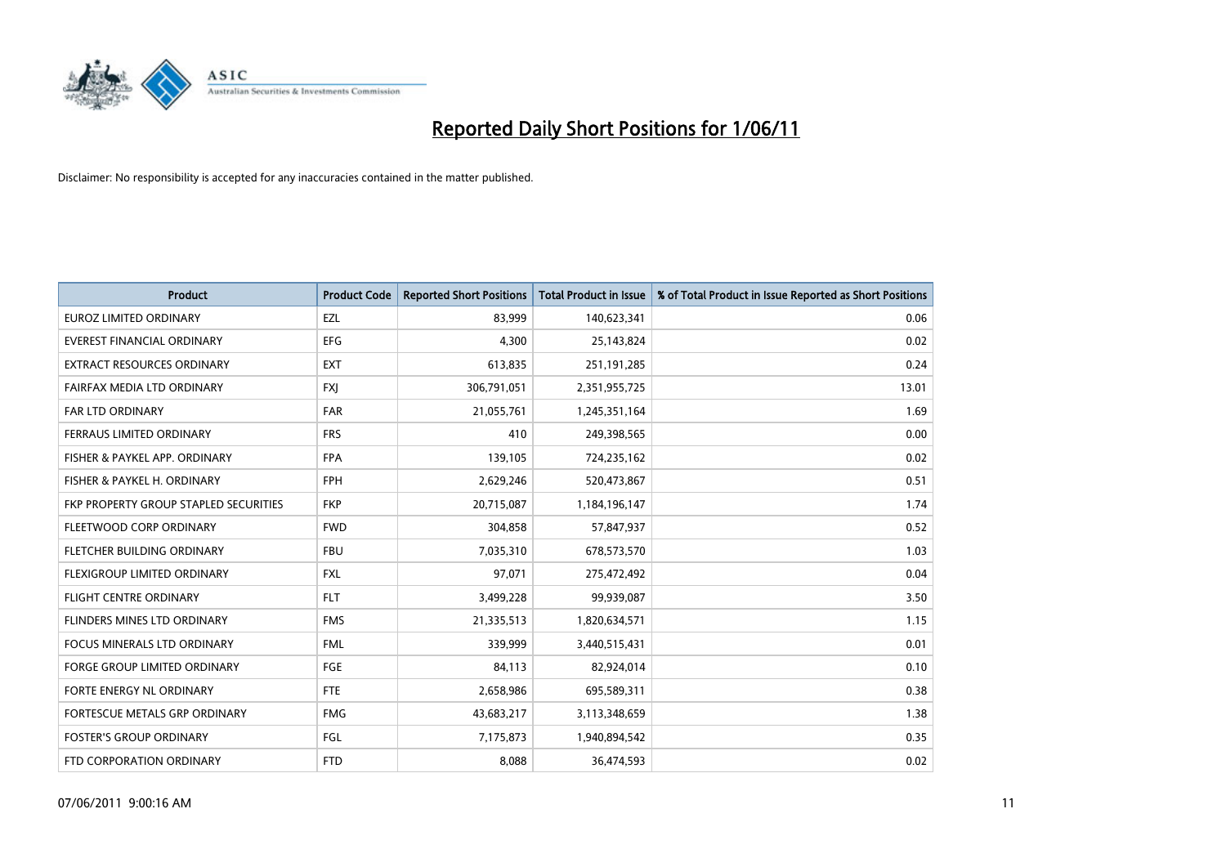

| <b>Product</b>                        | <b>Product Code</b> | <b>Reported Short Positions</b> | <b>Total Product in Issue</b> | % of Total Product in Issue Reported as Short Positions |
|---------------------------------------|---------------------|---------------------------------|-------------------------------|---------------------------------------------------------|
| <b>EUROZ LIMITED ORDINARY</b>         | EZL                 | 83,999                          | 140,623,341                   | 0.06                                                    |
| EVEREST FINANCIAL ORDINARY            | <b>EFG</b>          | 4,300                           | 25,143,824                    | 0.02                                                    |
| <b>EXTRACT RESOURCES ORDINARY</b>     | <b>EXT</b>          | 613,835                         | 251,191,285                   | 0.24                                                    |
| FAIRFAX MEDIA LTD ORDINARY            | <b>FXI</b>          | 306,791,051                     | 2,351,955,725                 | 13.01                                                   |
| <b>FAR LTD ORDINARY</b>               | <b>FAR</b>          | 21,055,761                      | 1,245,351,164                 | 1.69                                                    |
| FERRAUS LIMITED ORDINARY              | <b>FRS</b>          | 410                             | 249,398,565                   | 0.00                                                    |
| FISHER & PAYKEL APP. ORDINARY         | <b>FPA</b>          | 139,105                         | 724,235,162                   | 0.02                                                    |
| FISHER & PAYKEL H. ORDINARY           | <b>FPH</b>          | 2,629,246                       | 520,473,867                   | 0.51                                                    |
| FKP PROPERTY GROUP STAPLED SECURITIES | <b>FKP</b>          | 20,715,087                      | 1,184,196,147                 | 1.74                                                    |
| FLEETWOOD CORP ORDINARY               | <b>FWD</b>          | 304,858                         | 57,847,937                    | 0.52                                                    |
| <b>FLETCHER BUILDING ORDINARY</b>     | <b>FBU</b>          | 7,035,310                       | 678,573,570                   | 1.03                                                    |
| FLEXIGROUP LIMITED ORDINARY           | <b>FXL</b>          | 97,071                          | 275,472,492                   | 0.04                                                    |
| <b>FLIGHT CENTRE ORDINARY</b>         | <b>FLT</b>          | 3,499,228                       | 99,939,087                    | 3.50                                                    |
| FLINDERS MINES LTD ORDINARY           | <b>FMS</b>          | 21,335,513                      | 1,820,634,571                 | 1.15                                                    |
| <b>FOCUS MINERALS LTD ORDINARY</b>    | <b>FML</b>          | 339,999                         | 3,440,515,431                 | 0.01                                                    |
| FORGE GROUP LIMITED ORDINARY          | <b>FGE</b>          | 84,113                          | 82,924,014                    | 0.10                                                    |
| FORTE ENERGY NL ORDINARY              | <b>FTE</b>          | 2,658,986                       | 695,589,311                   | 0.38                                                    |
| FORTESCUE METALS GRP ORDINARY         | <b>FMG</b>          | 43,683,217                      | 3,113,348,659                 | 1.38                                                    |
| <b>FOSTER'S GROUP ORDINARY</b>        | FGL                 | 7,175,873                       | 1,940,894,542                 | 0.35                                                    |
| FTD CORPORATION ORDINARY              | <b>FTD</b>          | 8.088                           | 36,474,593                    | 0.02                                                    |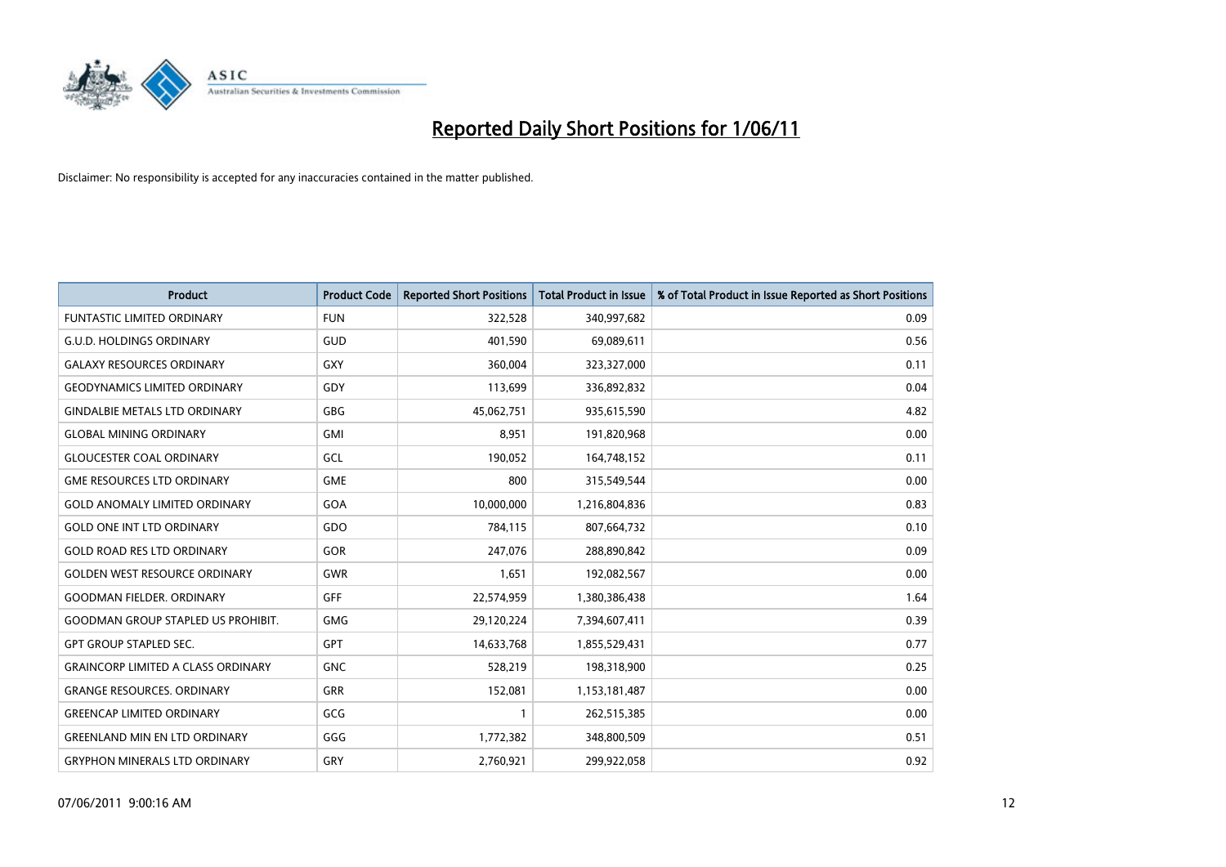

| <b>Product</b>                            | <b>Product Code</b> | <b>Reported Short Positions</b> | <b>Total Product in Issue</b> | % of Total Product in Issue Reported as Short Positions |
|-------------------------------------------|---------------------|---------------------------------|-------------------------------|---------------------------------------------------------|
| <b>FUNTASTIC LIMITED ORDINARY</b>         | <b>FUN</b>          | 322,528                         | 340,997,682                   | 0.09                                                    |
| <b>G.U.D. HOLDINGS ORDINARY</b>           | GUD                 | 401,590                         | 69,089,611                    | 0.56                                                    |
| <b>GALAXY RESOURCES ORDINARY</b>          | <b>GXY</b>          | 360.004                         | 323,327,000                   | 0.11                                                    |
| <b>GEODYNAMICS LIMITED ORDINARY</b>       | GDY                 | 113,699                         | 336,892,832                   | 0.04                                                    |
| <b>GINDALBIE METALS LTD ORDINARY</b>      | <b>GBG</b>          | 45,062,751                      | 935,615,590                   | 4.82                                                    |
| <b>GLOBAL MINING ORDINARY</b>             | <b>GMI</b>          | 8,951                           | 191,820,968                   | 0.00                                                    |
| <b>GLOUCESTER COAL ORDINARY</b>           | GCL                 | 190,052                         | 164,748,152                   | 0.11                                                    |
| <b>GME RESOURCES LTD ORDINARY</b>         | <b>GME</b>          | 800                             | 315,549,544                   | 0.00                                                    |
| <b>GOLD ANOMALY LIMITED ORDINARY</b>      | GOA                 | 10,000,000                      | 1,216,804,836                 | 0.83                                                    |
| <b>GOLD ONE INT LTD ORDINARY</b>          | GDO                 | 784,115                         | 807,664,732                   | 0.10                                                    |
| <b>GOLD ROAD RES LTD ORDINARY</b>         | GOR                 | 247,076                         | 288,890,842                   | 0.09                                                    |
| <b>GOLDEN WEST RESOURCE ORDINARY</b>      | <b>GWR</b>          | 1,651                           | 192,082,567                   | 0.00                                                    |
| <b>GOODMAN FIELDER, ORDINARY</b>          | <b>GFF</b>          | 22,574,959                      | 1,380,386,438                 | 1.64                                                    |
| <b>GOODMAN GROUP STAPLED US PROHIBIT.</b> | GMG                 | 29,120,224                      | 7,394,607,411                 | 0.39                                                    |
| <b>GPT GROUP STAPLED SEC.</b>             | GPT                 | 14,633,768                      | 1,855,529,431                 | 0.77                                                    |
| <b>GRAINCORP LIMITED A CLASS ORDINARY</b> | <b>GNC</b>          | 528,219                         | 198,318,900                   | 0.25                                                    |
| <b>GRANGE RESOURCES. ORDINARY</b>         | <b>GRR</b>          | 152,081                         | 1,153,181,487                 | 0.00                                                    |
| <b>GREENCAP LIMITED ORDINARY</b>          | GCG                 |                                 | 262,515,385                   | 0.00                                                    |
| <b>GREENLAND MIN EN LTD ORDINARY</b>      | GGG                 | 1,772,382                       | 348,800,509                   | 0.51                                                    |
| <b>GRYPHON MINERALS LTD ORDINARY</b>      | GRY                 | 2,760,921                       | 299,922,058                   | 0.92                                                    |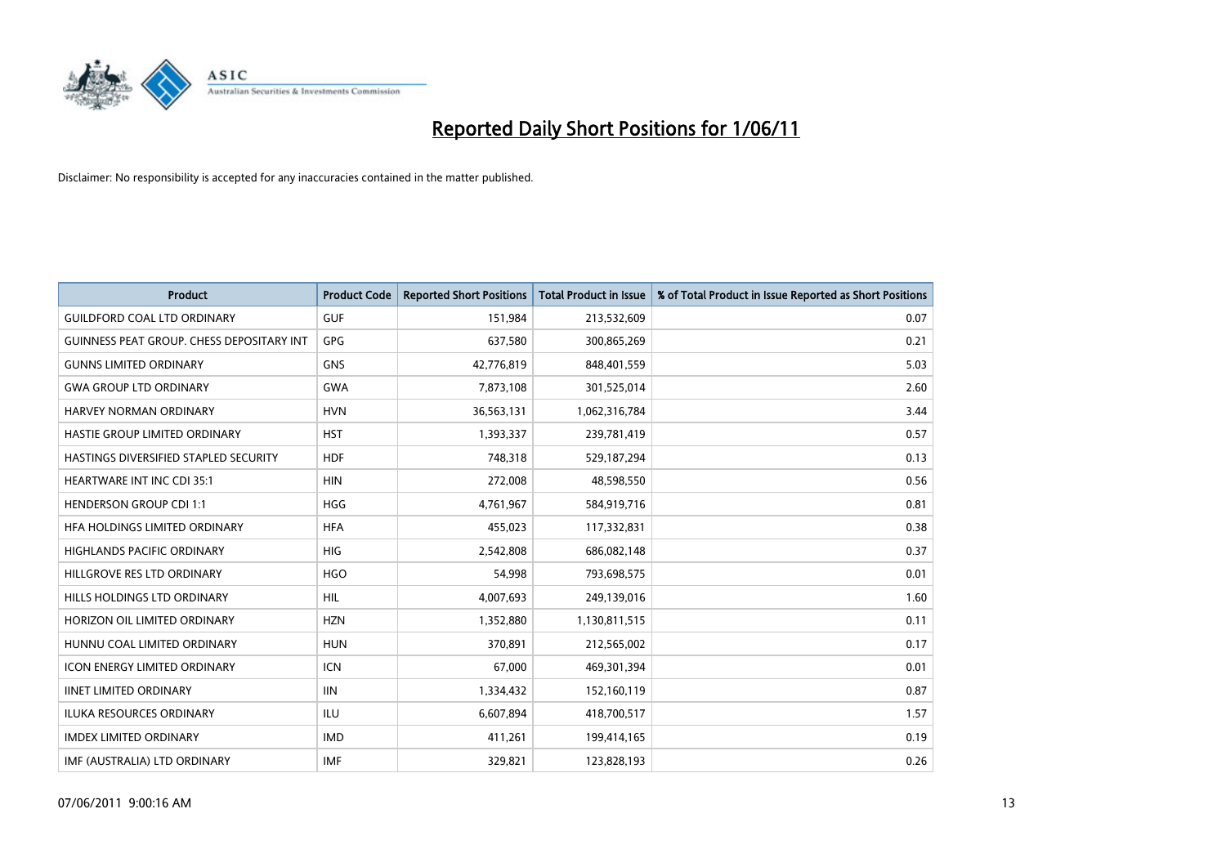

| <b>Product</b>                            | <b>Product Code</b> | <b>Reported Short Positions</b> | <b>Total Product in Issue</b> | % of Total Product in Issue Reported as Short Positions |
|-------------------------------------------|---------------------|---------------------------------|-------------------------------|---------------------------------------------------------|
| <b>GUILDFORD COAL LTD ORDINARY</b>        | <b>GUF</b>          | 151,984                         | 213,532,609                   | 0.07                                                    |
| GUINNESS PEAT GROUP. CHESS DEPOSITARY INT | GPG                 | 637,580                         | 300,865,269                   | 0.21                                                    |
| <b>GUNNS LIMITED ORDINARY</b>             | <b>GNS</b>          | 42,776,819                      | 848,401,559                   | 5.03                                                    |
| <b>GWA GROUP LTD ORDINARY</b>             | <b>GWA</b>          | 7,873,108                       | 301,525,014                   | 2.60                                                    |
| <b>HARVEY NORMAN ORDINARY</b>             | <b>HVN</b>          | 36,563,131                      | 1,062,316,784                 | 3.44                                                    |
| HASTIE GROUP LIMITED ORDINARY             | <b>HST</b>          | 1,393,337                       | 239,781,419                   | 0.57                                                    |
| HASTINGS DIVERSIFIED STAPLED SECURITY     | <b>HDF</b>          | 748.318                         | 529,187,294                   | 0.13                                                    |
| <b>HEARTWARE INT INC CDI 35:1</b>         | <b>HIN</b>          | 272,008                         | 48,598,550                    | 0.56                                                    |
| <b>HENDERSON GROUP CDI 1:1</b>            | <b>HGG</b>          | 4,761,967                       | 584,919,716                   | 0.81                                                    |
| HFA HOLDINGS LIMITED ORDINARY             | <b>HFA</b>          | 455,023                         | 117,332,831                   | 0.38                                                    |
| <b>HIGHLANDS PACIFIC ORDINARY</b>         | <b>HIG</b>          | 2,542,808                       | 686,082,148                   | 0.37                                                    |
| HILLGROVE RES LTD ORDINARY                | <b>HGO</b>          | 54,998                          | 793,698,575                   | 0.01                                                    |
| HILLS HOLDINGS LTD ORDINARY               | <b>HIL</b>          | 4,007,693                       | 249,139,016                   | 1.60                                                    |
| HORIZON OIL LIMITED ORDINARY              | <b>HZN</b>          | 1,352,880                       | 1,130,811,515                 | 0.11                                                    |
| HUNNU COAL LIMITED ORDINARY               | <b>HUN</b>          | 370,891                         | 212,565,002                   | 0.17                                                    |
| <b>ICON ENERGY LIMITED ORDINARY</b>       | <b>ICN</b>          | 67,000                          | 469,301,394                   | 0.01                                                    |
| <b>IINET LIMITED ORDINARY</b>             | <b>IIN</b>          | 1,334,432                       | 152,160,119                   | 0.87                                                    |
| ILUKA RESOURCES ORDINARY                  | <b>ILU</b>          | 6,607,894                       | 418,700,517                   | 1.57                                                    |
| <b>IMDEX LIMITED ORDINARY</b>             | <b>IMD</b>          | 411,261                         | 199,414,165                   | 0.19                                                    |
| IMF (AUSTRALIA) LTD ORDINARY              | <b>IMF</b>          | 329.821                         | 123,828,193                   | 0.26                                                    |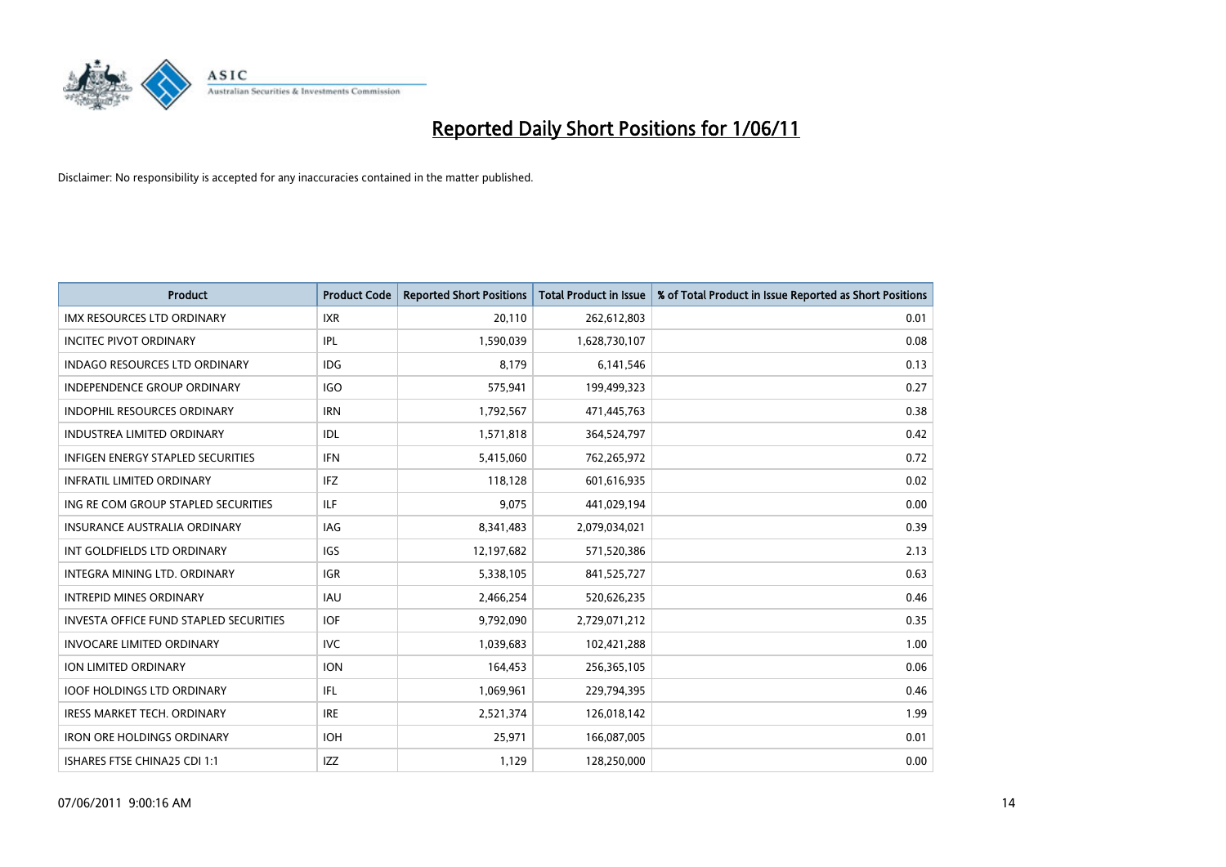

| <b>Product</b>                                | <b>Product Code</b> | <b>Reported Short Positions</b> | Total Product in Issue | % of Total Product in Issue Reported as Short Positions |
|-----------------------------------------------|---------------------|---------------------------------|------------------------|---------------------------------------------------------|
| <b>IMX RESOURCES LTD ORDINARY</b>             | <b>IXR</b>          | 20,110                          | 262,612,803            | 0.01                                                    |
| <b>INCITEC PIVOT ORDINARY</b>                 | <b>IPL</b>          | 1,590,039                       | 1,628,730,107          | 0.08                                                    |
| <b>INDAGO RESOURCES LTD ORDINARY</b>          | <b>IDG</b>          | 8,179                           | 6,141,546              | 0.13                                                    |
| INDEPENDENCE GROUP ORDINARY                   | <b>IGO</b>          | 575,941                         | 199,499,323            | 0.27                                                    |
| <b>INDOPHIL RESOURCES ORDINARY</b>            | <b>IRN</b>          | 1,792,567                       | 471,445,763            | 0.38                                                    |
| <b>INDUSTREA LIMITED ORDINARY</b>             | IDL                 | 1,571,818                       | 364,524,797            | 0.42                                                    |
| <b>INFIGEN ENERGY STAPLED SECURITIES</b>      | <b>IFN</b>          | 5,415,060                       | 762,265,972            | 0.72                                                    |
| <b>INFRATIL LIMITED ORDINARY</b>              | <b>IFZ</b>          | 118,128                         | 601,616,935            | 0.02                                                    |
| ING RE COM GROUP STAPLED SECURITIES           | <b>ILF</b>          | 9,075                           | 441,029,194            | 0.00                                                    |
| INSURANCE AUSTRALIA ORDINARY                  | <b>IAG</b>          | 8,341,483                       | 2,079,034,021          | 0.39                                                    |
| INT GOLDFIELDS LTD ORDINARY                   | IGS                 | 12,197,682                      | 571,520,386            | 2.13                                                    |
| <b>INTEGRA MINING LTD, ORDINARY</b>           | <b>IGR</b>          | 5,338,105                       | 841,525,727            | 0.63                                                    |
| <b>INTREPID MINES ORDINARY</b>                | <b>IAU</b>          | 2,466,254                       | 520,626,235            | 0.46                                                    |
| <b>INVESTA OFFICE FUND STAPLED SECURITIES</b> | <b>IOF</b>          | 9,792,090                       | 2,729,071,212          | 0.35                                                    |
| <b>INVOCARE LIMITED ORDINARY</b>              | <b>IVC</b>          | 1,039,683                       | 102,421,288            | 1.00                                                    |
| <b>ION LIMITED ORDINARY</b>                   | <b>ION</b>          | 164,453                         | 256,365,105            | 0.06                                                    |
| <b>IOOF HOLDINGS LTD ORDINARY</b>             | <b>IFL</b>          | 1,069,961                       | 229,794,395            | 0.46                                                    |
| IRESS MARKET TECH. ORDINARY                   | <b>IRE</b>          | 2,521,374                       | 126,018,142            | 1.99                                                    |
| <b>IRON ORE HOLDINGS ORDINARY</b>             | <b>IOH</b>          | 25,971                          | 166,087,005            | 0.01                                                    |
| ISHARES FTSE CHINA25 CDI 1:1                  | IZZ                 | 1,129                           | 128,250,000            | 0.00                                                    |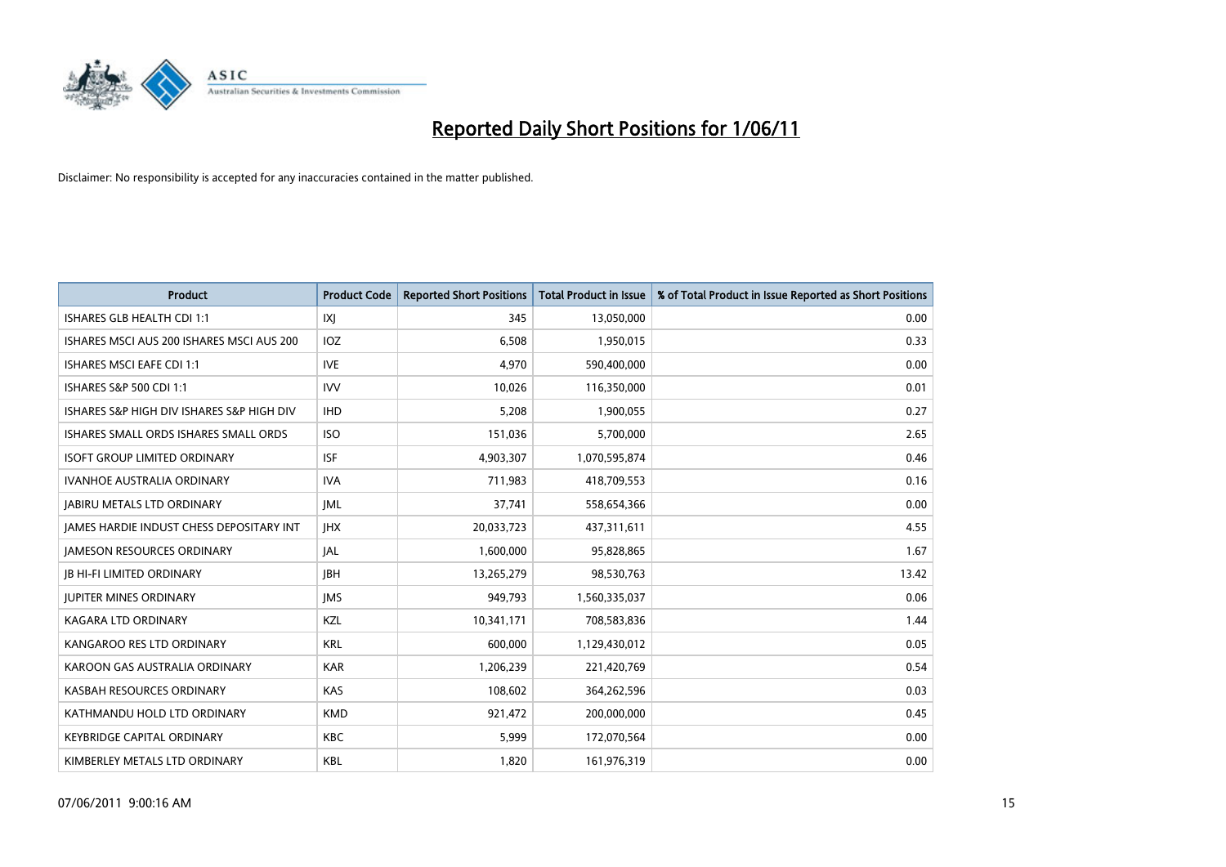

| <b>Product</b>                                  | <b>Product Code</b> | <b>Reported Short Positions</b> | Total Product in Issue | % of Total Product in Issue Reported as Short Positions |
|-------------------------------------------------|---------------------|---------------------------------|------------------------|---------------------------------------------------------|
| ISHARES GLB HEALTH CDI 1:1                      | X                   | 345                             | 13,050,000             | 0.00                                                    |
| ISHARES MSCI AUS 200 ISHARES MSCI AUS 200       | IOZ                 | 6,508                           | 1,950,015              | 0.33                                                    |
| <b>ISHARES MSCI EAFE CDI 1:1</b>                | <b>IVE</b>          | 4,970                           | 590,400,000            | 0.00                                                    |
| ISHARES S&P 500 CDI 1:1                         | <b>IVV</b>          | 10,026                          | 116,350,000            | 0.01                                                    |
| ISHARES S&P HIGH DIV ISHARES S&P HIGH DIV       | <b>IHD</b>          | 5,208                           | 1,900,055              | 0.27                                                    |
| ISHARES SMALL ORDS ISHARES SMALL ORDS           | <b>ISO</b>          | 151,036                         | 5,700,000              | 2.65                                                    |
| <b>ISOFT GROUP LIMITED ORDINARY</b>             | <b>ISF</b>          | 4,903,307                       | 1,070,595,874          | 0.46                                                    |
| IVANHOE AUSTRALIA ORDINARY                      | <b>IVA</b>          | 711,983                         | 418,709,553            | 0.16                                                    |
| <b>JABIRU METALS LTD ORDINARY</b>               | <b>JML</b>          | 37,741                          | 558,654,366            | 0.00                                                    |
| <b>JAMES HARDIE INDUST CHESS DEPOSITARY INT</b> | <b>JHX</b>          | 20,033,723                      | 437,311,611            | 4.55                                                    |
| <b>JAMESON RESOURCES ORDINARY</b>               | <b>JAL</b>          | 1,600,000                       | 95,828,865             | 1.67                                                    |
| <b>JB HI-FI LIMITED ORDINARY</b>                | <b>IBH</b>          | 13,265,279                      | 98,530,763             | 13.42                                                   |
| <b>JUPITER MINES ORDINARY</b>                   | <b>IMS</b>          | 949,793                         | 1,560,335,037          | 0.06                                                    |
| <b>KAGARA LTD ORDINARY</b>                      | KZL                 | 10,341,171                      | 708,583,836            | 1.44                                                    |
| KANGAROO RES LTD ORDINARY                       | <b>KRL</b>          | 600,000                         | 1,129,430,012          | 0.05                                                    |
| KAROON GAS AUSTRALIA ORDINARY                   | <b>KAR</b>          | 1,206,239                       | 221,420,769            | 0.54                                                    |
| KASBAH RESOURCES ORDINARY                       | <b>KAS</b>          | 108,602                         | 364,262,596            | 0.03                                                    |
| KATHMANDU HOLD LTD ORDINARY                     | <b>KMD</b>          | 921,472                         | 200,000,000            | 0.45                                                    |
| <b>KEYBRIDGE CAPITAL ORDINARY</b>               | <b>KBC</b>          | 5,999                           | 172,070,564            | 0.00                                                    |
| KIMBERLEY METALS LTD ORDINARY                   | <b>KBL</b>          | 1,820                           | 161,976,319            | 0.00                                                    |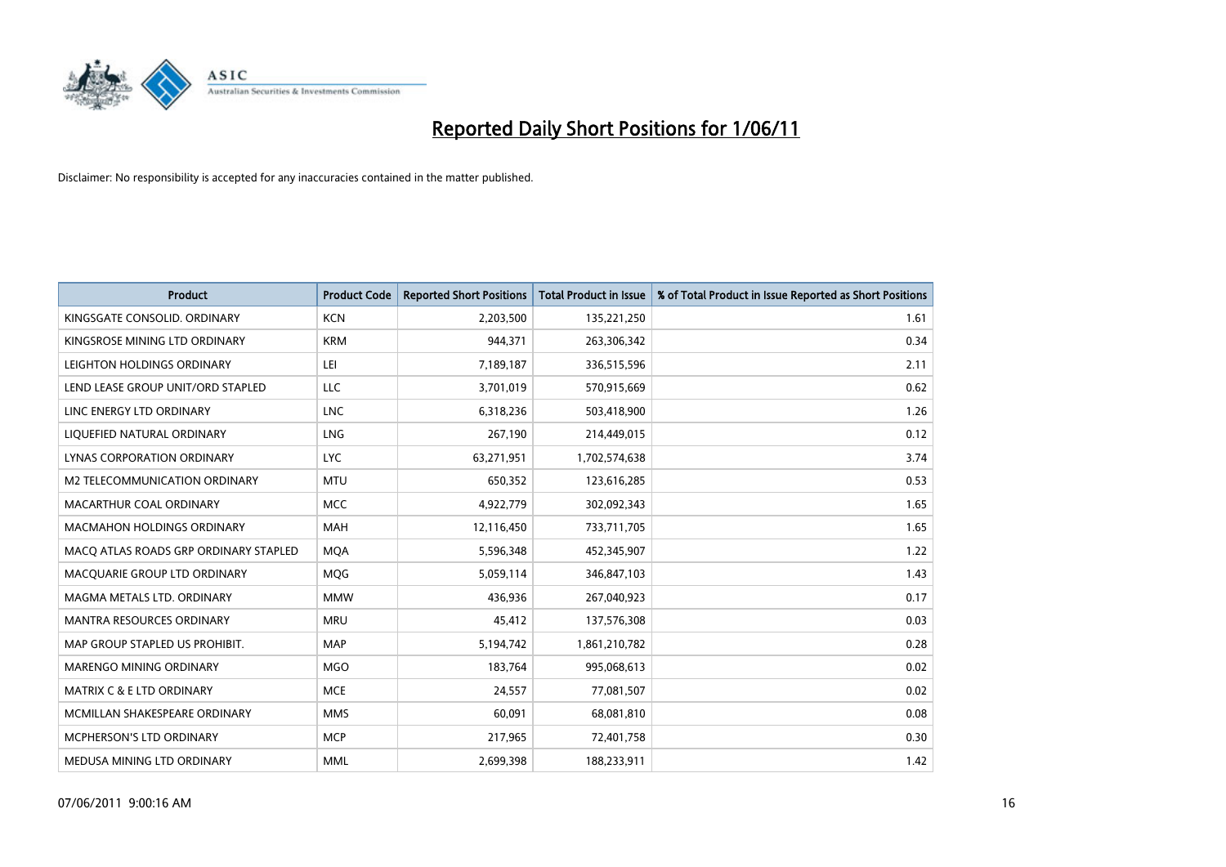

| <b>Product</b>                        | <b>Product Code</b> | <b>Reported Short Positions</b> | Total Product in Issue | % of Total Product in Issue Reported as Short Positions |
|---------------------------------------|---------------------|---------------------------------|------------------------|---------------------------------------------------------|
| KINGSGATE CONSOLID, ORDINARY          | <b>KCN</b>          | 2,203,500                       | 135,221,250            | 1.61                                                    |
| KINGSROSE MINING LTD ORDINARY         | <b>KRM</b>          | 944.371                         | 263,306,342            | 0.34                                                    |
| LEIGHTON HOLDINGS ORDINARY            | LEI                 | 7,189,187                       | 336,515,596            | 2.11                                                    |
| LEND LEASE GROUP UNIT/ORD STAPLED     | LLC                 | 3,701,019                       | 570,915,669            | 0.62                                                    |
| LINC ENERGY LTD ORDINARY              | <b>LNC</b>          | 6,318,236                       | 503,418,900            | 1.26                                                    |
| LIQUEFIED NATURAL ORDINARY            | <b>LNG</b>          | 267,190                         | 214,449,015            | 0.12                                                    |
| LYNAS CORPORATION ORDINARY            | <b>LYC</b>          | 63,271,951                      | 1,702,574,638          | 3.74                                                    |
| M2 TELECOMMUNICATION ORDINARY         | <b>MTU</b>          | 650,352                         | 123,616,285            | 0.53                                                    |
| MACARTHUR COAL ORDINARY               | <b>MCC</b>          | 4,922,779                       | 302,092,343            | 1.65                                                    |
| <b>MACMAHON HOLDINGS ORDINARY</b>     | <b>MAH</b>          | 12,116,450                      | 733,711,705            | 1.65                                                    |
| MACQ ATLAS ROADS GRP ORDINARY STAPLED | <b>MOA</b>          | 5,596,348                       | 452,345,907            | 1.22                                                    |
| MACQUARIE GROUP LTD ORDINARY          | MQG                 | 5,059,114                       | 346,847,103            | 1.43                                                    |
| MAGMA METALS LTD. ORDINARY            | <b>MMW</b>          | 436.936                         | 267,040,923            | 0.17                                                    |
| <b>MANTRA RESOURCES ORDINARY</b>      | <b>MRU</b>          | 45,412                          | 137,576,308            | 0.03                                                    |
| MAP GROUP STAPLED US PROHIBIT.        | <b>MAP</b>          | 5,194,742                       | 1,861,210,782          | 0.28                                                    |
| MARENGO MINING ORDINARY               | <b>MGO</b>          | 183,764                         | 995,068,613            | 0.02                                                    |
| <b>MATRIX C &amp; E LTD ORDINARY</b>  | <b>MCE</b>          | 24,557                          | 77,081,507             | 0.02                                                    |
| MCMILLAN SHAKESPEARE ORDINARY         | <b>MMS</b>          | 60,091                          | 68,081,810             | 0.08                                                    |
| <b>MCPHERSON'S LTD ORDINARY</b>       | <b>MCP</b>          | 217,965                         | 72,401,758             | 0.30                                                    |
| MEDUSA MINING LTD ORDINARY            | <b>MML</b>          | 2,699,398                       | 188,233,911            | 1.42                                                    |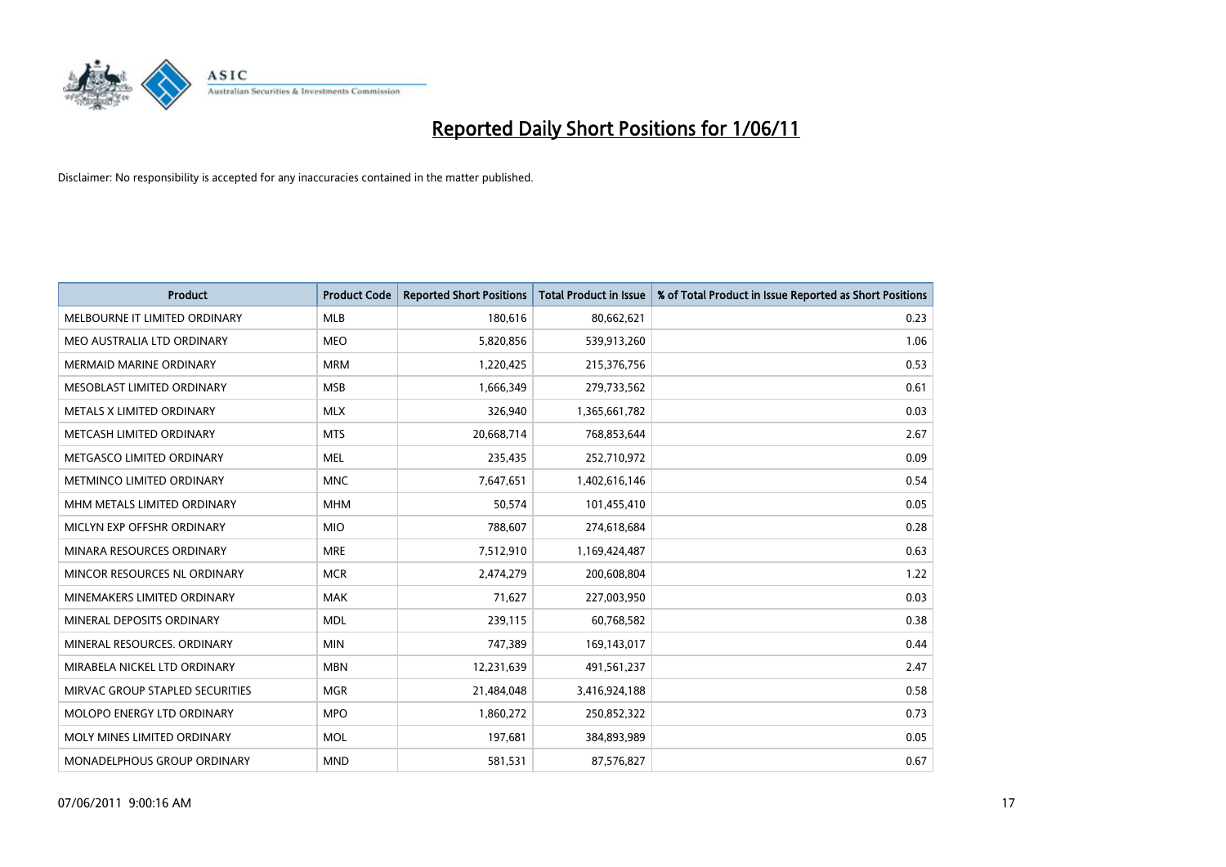

| <b>Product</b>                  | <b>Product Code</b> | <b>Reported Short Positions</b> | <b>Total Product in Issue</b> | % of Total Product in Issue Reported as Short Positions |
|---------------------------------|---------------------|---------------------------------|-------------------------------|---------------------------------------------------------|
| MELBOURNE IT LIMITED ORDINARY   | <b>MLB</b>          | 180,616                         | 80,662,621                    | 0.23                                                    |
| MEO AUSTRALIA LTD ORDINARY      | <b>MEO</b>          | 5,820,856                       | 539,913,260                   | 1.06                                                    |
| <b>MERMAID MARINE ORDINARY</b>  | <b>MRM</b>          | 1,220,425                       | 215,376,756                   | 0.53                                                    |
| MESOBLAST LIMITED ORDINARY      | <b>MSB</b>          | 1,666,349                       | 279,733,562                   | 0.61                                                    |
| METALS X LIMITED ORDINARY       | <b>MLX</b>          | 326,940                         | 1,365,661,782                 | 0.03                                                    |
| METCASH LIMITED ORDINARY        | <b>MTS</b>          | 20,668,714                      | 768,853,644                   | 2.67                                                    |
| METGASCO LIMITED ORDINARY       | <b>MEL</b>          | 235,435                         | 252,710,972                   | 0.09                                                    |
| METMINCO LIMITED ORDINARY       | <b>MNC</b>          | 7,647,651                       | 1,402,616,146                 | 0.54                                                    |
| MHM METALS LIMITED ORDINARY     | <b>MHM</b>          | 50,574                          | 101,455,410                   | 0.05                                                    |
| MICLYN EXP OFFSHR ORDINARY      | <b>MIO</b>          | 788,607                         | 274,618,684                   | 0.28                                                    |
| MINARA RESOURCES ORDINARY       | <b>MRE</b>          | 7,512,910                       | 1,169,424,487                 | 0.63                                                    |
| MINCOR RESOURCES NL ORDINARY    | <b>MCR</b>          | 2,474,279                       | 200,608,804                   | 1.22                                                    |
| MINEMAKERS LIMITED ORDINARY     | <b>MAK</b>          | 71,627                          | 227,003,950                   | 0.03                                                    |
| MINERAL DEPOSITS ORDINARY       | <b>MDL</b>          | 239,115                         | 60,768,582                    | 0.38                                                    |
| MINERAL RESOURCES, ORDINARY     | <b>MIN</b>          | 747,389                         | 169,143,017                   | 0.44                                                    |
| MIRABELA NICKEL LTD ORDINARY    | <b>MBN</b>          | 12,231,639                      | 491,561,237                   | 2.47                                                    |
| MIRVAC GROUP STAPLED SECURITIES | <b>MGR</b>          | 21,484,048                      | 3,416,924,188                 | 0.58                                                    |
| MOLOPO ENERGY LTD ORDINARY      | <b>MPO</b>          | 1,860,272                       | 250,852,322                   | 0.73                                                    |
| MOLY MINES LIMITED ORDINARY     | <b>MOL</b>          | 197,681                         | 384,893,989                   | 0.05                                                    |
| MONADELPHOUS GROUP ORDINARY     | <b>MND</b>          | 581,531                         | 87,576,827                    | 0.67                                                    |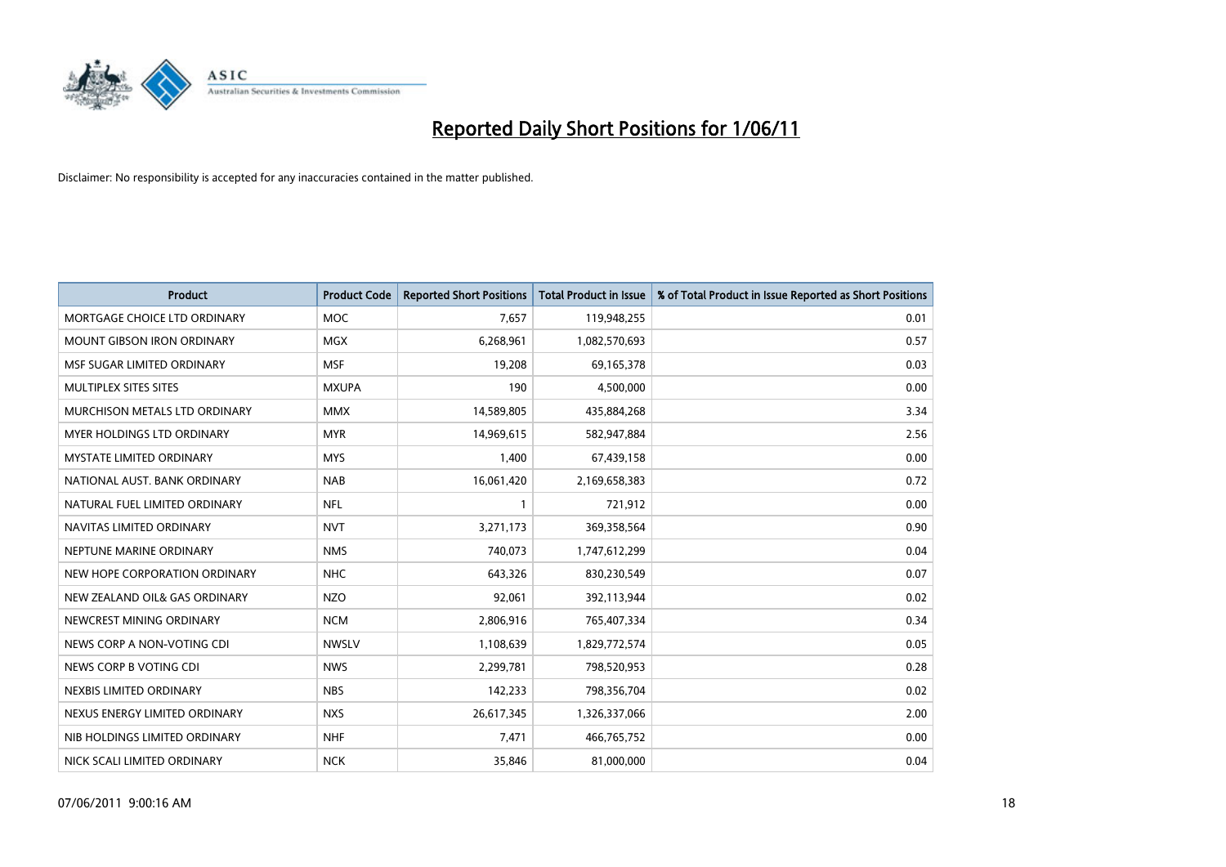

| <b>Product</b>                  | <b>Product Code</b> | <b>Reported Short Positions</b> | <b>Total Product in Issue</b> | % of Total Product in Issue Reported as Short Positions |
|---------------------------------|---------------------|---------------------------------|-------------------------------|---------------------------------------------------------|
| MORTGAGE CHOICE LTD ORDINARY    | <b>MOC</b>          | 7,657                           | 119,948,255                   | 0.01                                                    |
| MOUNT GIBSON IRON ORDINARY      | <b>MGX</b>          | 6,268,961                       | 1,082,570,693                 | 0.57                                                    |
| MSF SUGAR LIMITED ORDINARY      | <b>MSF</b>          | 19,208                          | 69,165,378                    | 0.03                                                    |
| MULTIPLEX SITES SITES           | <b>MXUPA</b>        | 190                             | 4,500,000                     | 0.00                                                    |
| MURCHISON METALS LTD ORDINARY   | <b>MMX</b>          | 14,589,805                      | 435,884,268                   | 3.34                                                    |
| MYER HOLDINGS LTD ORDINARY      | <b>MYR</b>          | 14,969,615                      | 582,947,884                   | 2.56                                                    |
| <b>MYSTATE LIMITED ORDINARY</b> | <b>MYS</b>          | 1,400                           | 67,439,158                    | 0.00                                                    |
| NATIONAL AUST. BANK ORDINARY    | <b>NAB</b>          | 16,061,420                      | 2,169,658,383                 | 0.72                                                    |
| NATURAL FUEL LIMITED ORDINARY   | <b>NFL</b>          |                                 | 721,912                       | 0.00                                                    |
| NAVITAS LIMITED ORDINARY        | <b>NVT</b>          | 3,271,173                       | 369,358,564                   | 0.90                                                    |
| NEPTUNE MARINE ORDINARY         | <b>NMS</b>          | 740,073                         | 1,747,612,299                 | 0.04                                                    |
| NEW HOPE CORPORATION ORDINARY   | <b>NHC</b>          | 643,326                         | 830,230,549                   | 0.07                                                    |
| NEW ZEALAND OIL& GAS ORDINARY   | <b>NZO</b>          | 92,061                          | 392,113,944                   | 0.02                                                    |
| NEWCREST MINING ORDINARY        | <b>NCM</b>          | 2,806,916                       | 765,407,334                   | 0.34                                                    |
| NEWS CORP A NON-VOTING CDI      | <b>NWSLV</b>        | 1,108,639                       | 1,829,772,574                 | 0.05                                                    |
| NEWS CORP B VOTING CDI          | <b>NWS</b>          | 2,299,781                       | 798,520,953                   | 0.28                                                    |
| NEXBIS LIMITED ORDINARY         | <b>NBS</b>          | 142,233                         | 798,356,704                   | 0.02                                                    |
| NEXUS ENERGY LIMITED ORDINARY   | <b>NXS</b>          | 26,617,345                      | 1,326,337,066                 | 2.00                                                    |
| NIB HOLDINGS LIMITED ORDINARY   | <b>NHF</b>          | 7,471                           | 466,765,752                   | 0.00                                                    |
| NICK SCALI LIMITED ORDINARY     | <b>NCK</b>          | 35,846                          | 81,000,000                    | 0.04                                                    |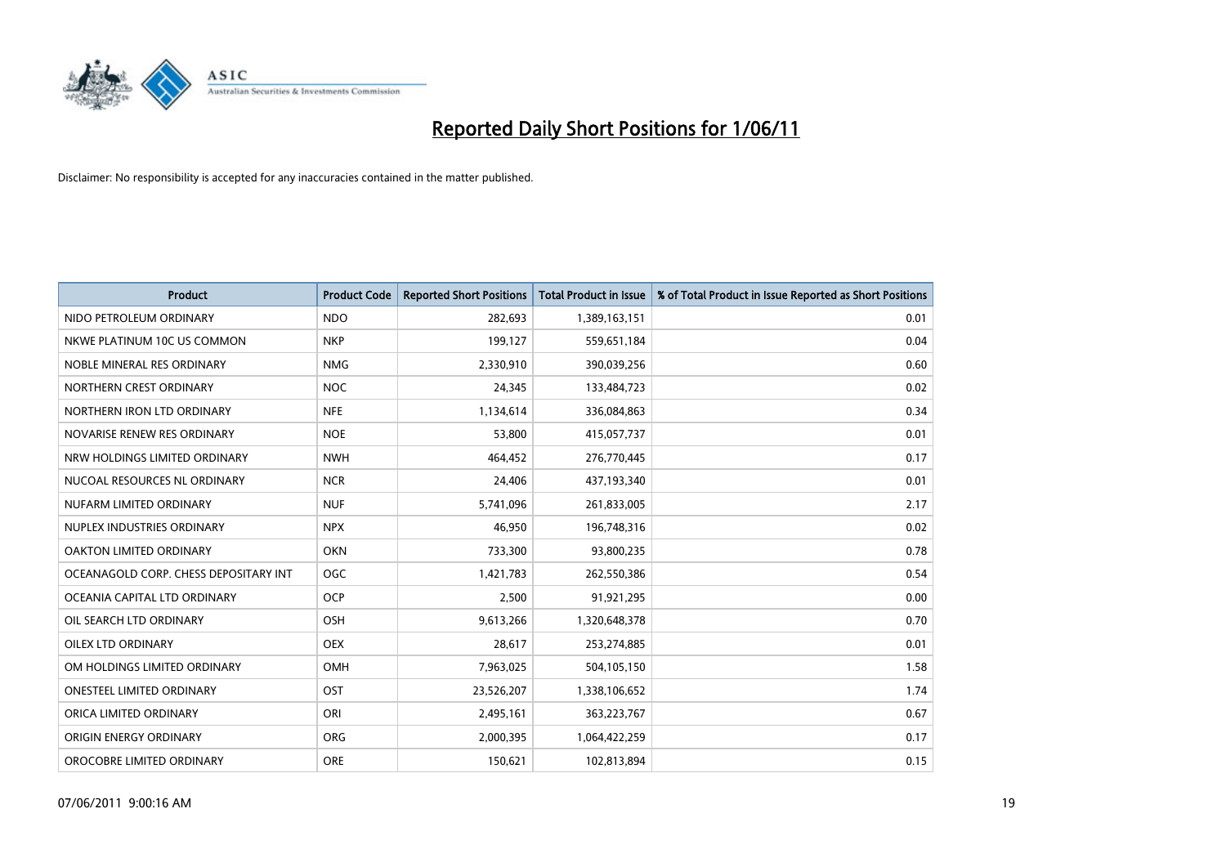

| <b>Product</b>                        | <b>Product Code</b> | <b>Reported Short Positions</b> | Total Product in Issue | % of Total Product in Issue Reported as Short Positions |
|---------------------------------------|---------------------|---------------------------------|------------------------|---------------------------------------------------------|
| NIDO PETROLEUM ORDINARY               | <b>NDO</b>          | 282,693                         | 1,389,163,151          | 0.01                                                    |
| NKWE PLATINUM 10C US COMMON           | <b>NKP</b>          | 199,127                         | 559,651,184            | 0.04                                                    |
| NOBLE MINERAL RES ORDINARY            | <b>NMG</b>          | 2,330,910                       | 390,039,256            | 0.60                                                    |
| NORTHERN CREST ORDINARY               | <b>NOC</b>          | 24,345                          | 133,484,723            | 0.02                                                    |
| NORTHERN IRON LTD ORDINARY            | <b>NFE</b>          | 1,134,614                       | 336,084,863            | 0.34                                                    |
| NOVARISE RENEW RES ORDINARY           | <b>NOE</b>          | 53,800                          | 415,057,737            | 0.01                                                    |
| NRW HOLDINGS LIMITED ORDINARY         | <b>NWH</b>          | 464,452                         | 276,770,445            | 0.17                                                    |
| NUCOAL RESOURCES NL ORDINARY          | <b>NCR</b>          | 24,406                          | 437,193,340            | 0.01                                                    |
| NUFARM LIMITED ORDINARY               | <b>NUF</b>          | 5,741,096                       | 261,833,005            | 2.17                                                    |
| NUPLEX INDUSTRIES ORDINARY            | <b>NPX</b>          | 46.950                          | 196,748,316            | 0.02                                                    |
| OAKTON LIMITED ORDINARY               | <b>OKN</b>          | 733,300                         | 93,800,235             | 0.78                                                    |
| OCEANAGOLD CORP. CHESS DEPOSITARY INT | <b>OGC</b>          | 1,421,783                       | 262,550,386            | 0.54                                                    |
| OCEANIA CAPITAL LTD ORDINARY          | <b>OCP</b>          | 2,500                           | 91,921,295             | 0.00                                                    |
| OIL SEARCH LTD ORDINARY               | OSH                 | 9,613,266                       | 1,320,648,378          | 0.70                                                    |
| OILEX LTD ORDINARY                    | <b>OEX</b>          | 28,617                          | 253,274,885            | 0.01                                                    |
| OM HOLDINGS LIMITED ORDINARY          | OMH                 | 7,963,025                       | 504,105,150            | 1.58                                                    |
| <b>ONESTEEL LIMITED ORDINARY</b>      | OST                 | 23,526,207                      | 1,338,106,652          | 1.74                                                    |
| ORICA LIMITED ORDINARY                | ORI                 | 2,495,161                       | 363,223,767            | 0.67                                                    |
| ORIGIN ENERGY ORDINARY                | <b>ORG</b>          | 2,000,395                       | 1,064,422,259          | 0.17                                                    |
| OROCOBRE LIMITED ORDINARY             | <b>ORE</b>          | 150.621                         | 102,813,894            | 0.15                                                    |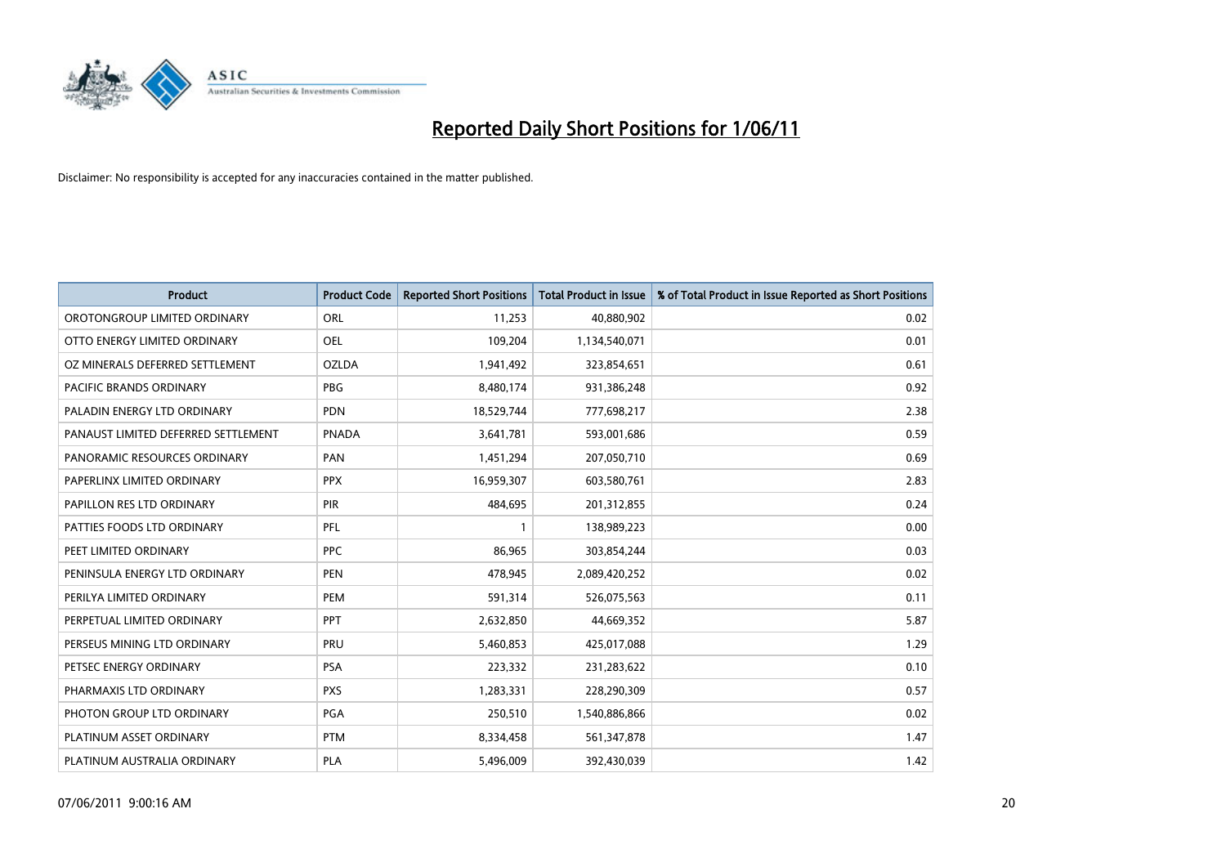

| <b>Product</b>                      | <b>Product Code</b> | <b>Reported Short Positions</b> | Total Product in Issue | % of Total Product in Issue Reported as Short Positions |
|-------------------------------------|---------------------|---------------------------------|------------------------|---------------------------------------------------------|
| OROTONGROUP LIMITED ORDINARY        | ORL                 | 11,253                          | 40,880,902             | 0.02                                                    |
| OTTO ENERGY LIMITED ORDINARY        | <b>OEL</b>          | 109,204                         | 1,134,540,071          | 0.01                                                    |
| OZ MINERALS DEFERRED SETTLEMENT     | <b>OZLDA</b>        | 1,941,492                       | 323,854,651            | 0.61                                                    |
| PACIFIC BRANDS ORDINARY             | <b>PBG</b>          | 8,480,174                       | 931,386,248            | 0.92                                                    |
| PALADIN ENERGY LTD ORDINARY         | <b>PDN</b>          | 18,529,744                      | 777,698,217            | 2.38                                                    |
| PANAUST LIMITED DEFERRED SETTLEMENT | <b>PNADA</b>        | 3,641,781                       | 593,001,686            | 0.59                                                    |
| PANORAMIC RESOURCES ORDINARY        | PAN                 | 1,451,294                       | 207,050,710            | 0.69                                                    |
| PAPERLINX LIMITED ORDINARY          | <b>PPX</b>          | 16,959,307                      | 603,580,761            | 2.83                                                    |
| PAPILLON RES LTD ORDINARY           | PIR                 | 484.695                         | 201,312,855            | 0.24                                                    |
| PATTIES FOODS LTD ORDINARY          | PFL                 |                                 | 138,989,223            | 0.00                                                    |
| PEET LIMITED ORDINARY               | <b>PPC</b>          | 86,965                          | 303,854,244            | 0.03                                                    |
| PENINSULA ENERGY LTD ORDINARY       | <b>PEN</b>          | 478,945                         | 2,089,420,252          | 0.02                                                    |
| PERILYA LIMITED ORDINARY            | PEM                 | 591,314                         | 526,075,563            | 0.11                                                    |
| PERPETUAL LIMITED ORDINARY          | PPT                 | 2,632,850                       | 44,669,352             | 5.87                                                    |
| PERSEUS MINING LTD ORDINARY         | PRU                 | 5,460,853                       | 425,017,088            | 1.29                                                    |
| PETSEC ENERGY ORDINARY              | <b>PSA</b>          | 223,332                         | 231,283,622            | 0.10                                                    |
| PHARMAXIS LTD ORDINARY              | <b>PXS</b>          | 1,283,331                       | 228,290,309            | 0.57                                                    |
| PHOTON GROUP LTD ORDINARY           | <b>PGA</b>          | 250,510                         | 1,540,886,866          | 0.02                                                    |
| PLATINUM ASSET ORDINARY             | <b>PTM</b>          | 8,334,458                       | 561,347,878            | 1.47                                                    |
| PLATINUM AUSTRALIA ORDINARY         | PLA                 | 5,496,009                       | 392,430,039            | 1.42                                                    |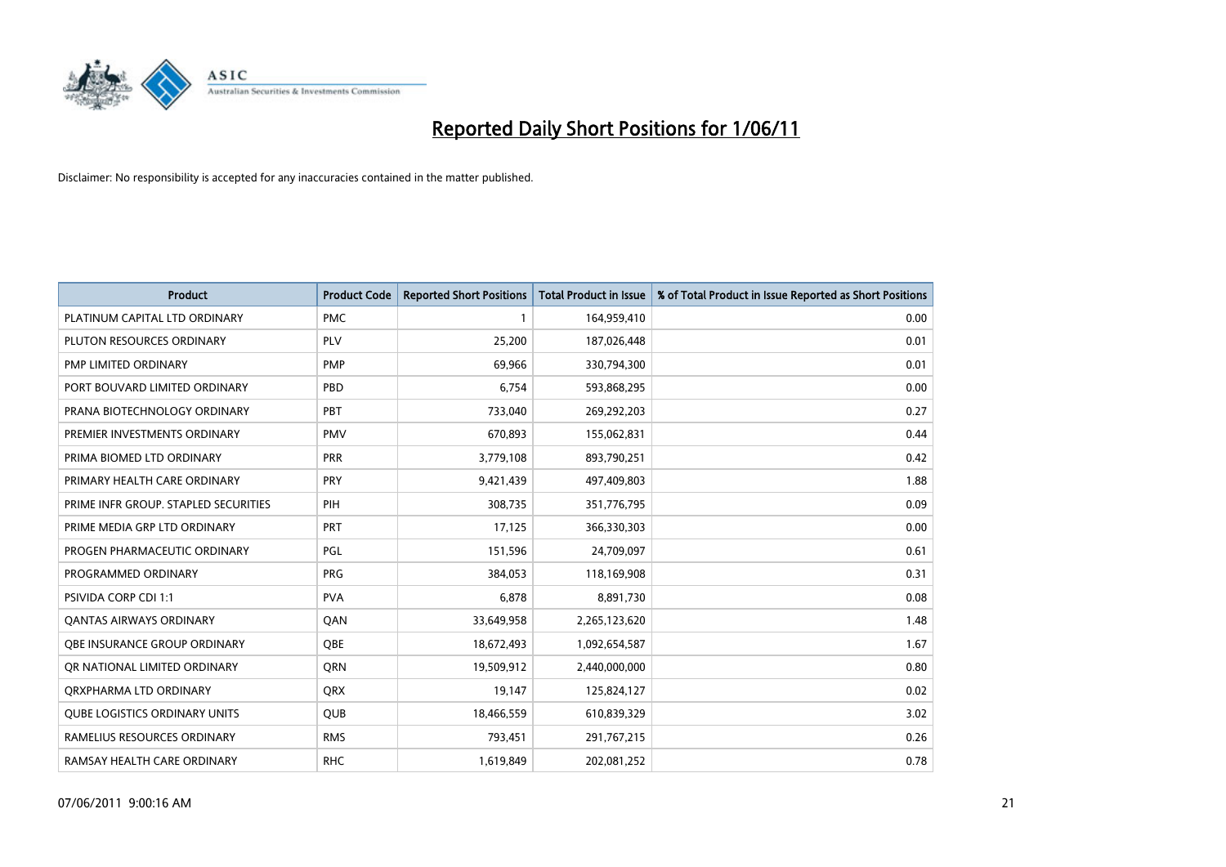

| <b>Product</b>                       | <b>Product Code</b> | <b>Reported Short Positions</b> | <b>Total Product in Issue</b> | % of Total Product in Issue Reported as Short Positions |
|--------------------------------------|---------------------|---------------------------------|-------------------------------|---------------------------------------------------------|
| PLATINUM CAPITAL LTD ORDINARY        | <b>PMC</b>          |                                 | 164,959,410                   | 0.00                                                    |
| PLUTON RESOURCES ORDINARY            | PLV                 | 25,200                          | 187,026,448                   | 0.01                                                    |
| PMP LIMITED ORDINARY                 | <b>PMP</b>          | 69.966                          | 330,794,300                   | 0.01                                                    |
| PORT BOUVARD LIMITED ORDINARY        | PBD                 | 6,754                           | 593,868,295                   | 0.00                                                    |
| PRANA BIOTECHNOLOGY ORDINARY         | PBT                 | 733,040                         | 269,292,203                   | 0.27                                                    |
| PREMIER INVESTMENTS ORDINARY         | <b>PMV</b>          | 670,893                         | 155,062,831                   | 0.44                                                    |
| PRIMA BIOMED LTD ORDINARY            | <b>PRR</b>          | 3,779,108                       | 893,790,251                   | 0.42                                                    |
| PRIMARY HEALTH CARE ORDINARY         | <b>PRY</b>          | 9,421,439                       | 497,409,803                   | 1.88                                                    |
| PRIME INFR GROUP. STAPLED SECURITIES | PIH                 | 308,735                         | 351,776,795                   | 0.09                                                    |
| PRIME MEDIA GRP LTD ORDINARY         | <b>PRT</b>          | 17,125                          | 366,330,303                   | 0.00                                                    |
| PROGEN PHARMACEUTIC ORDINARY         | <b>PGL</b>          | 151,596                         | 24,709,097                    | 0.61                                                    |
| PROGRAMMED ORDINARY                  | <b>PRG</b>          | 384,053                         | 118,169,908                   | 0.31                                                    |
| PSIVIDA CORP CDI 1:1                 | <b>PVA</b>          | 6,878                           | 8,891,730                     | 0.08                                                    |
| <b>QANTAS AIRWAYS ORDINARY</b>       | QAN                 | 33,649,958                      | 2,265,123,620                 | 1.48                                                    |
| OBE INSURANCE GROUP ORDINARY         | <b>OBE</b>          | 18,672,493                      | 1,092,654,587                 | 1.67                                                    |
| OR NATIONAL LIMITED ORDINARY         | <b>ORN</b>          | 19,509,912                      | 2,440,000,000                 | 0.80                                                    |
| ORXPHARMA LTD ORDINARY               | <b>ORX</b>          | 19,147                          | 125,824,127                   | 0.02                                                    |
| QUBE LOGISTICS ORDINARY UNITS        | <b>QUB</b>          | 18,466,559                      | 610,839,329                   | 3.02                                                    |
| RAMELIUS RESOURCES ORDINARY          | <b>RMS</b>          | 793,451                         | 291,767,215                   | 0.26                                                    |
| RAMSAY HEALTH CARE ORDINARY          | <b>RHC</b>          | 1,619,849                       | 202,081,252                   | 0.78                                                    |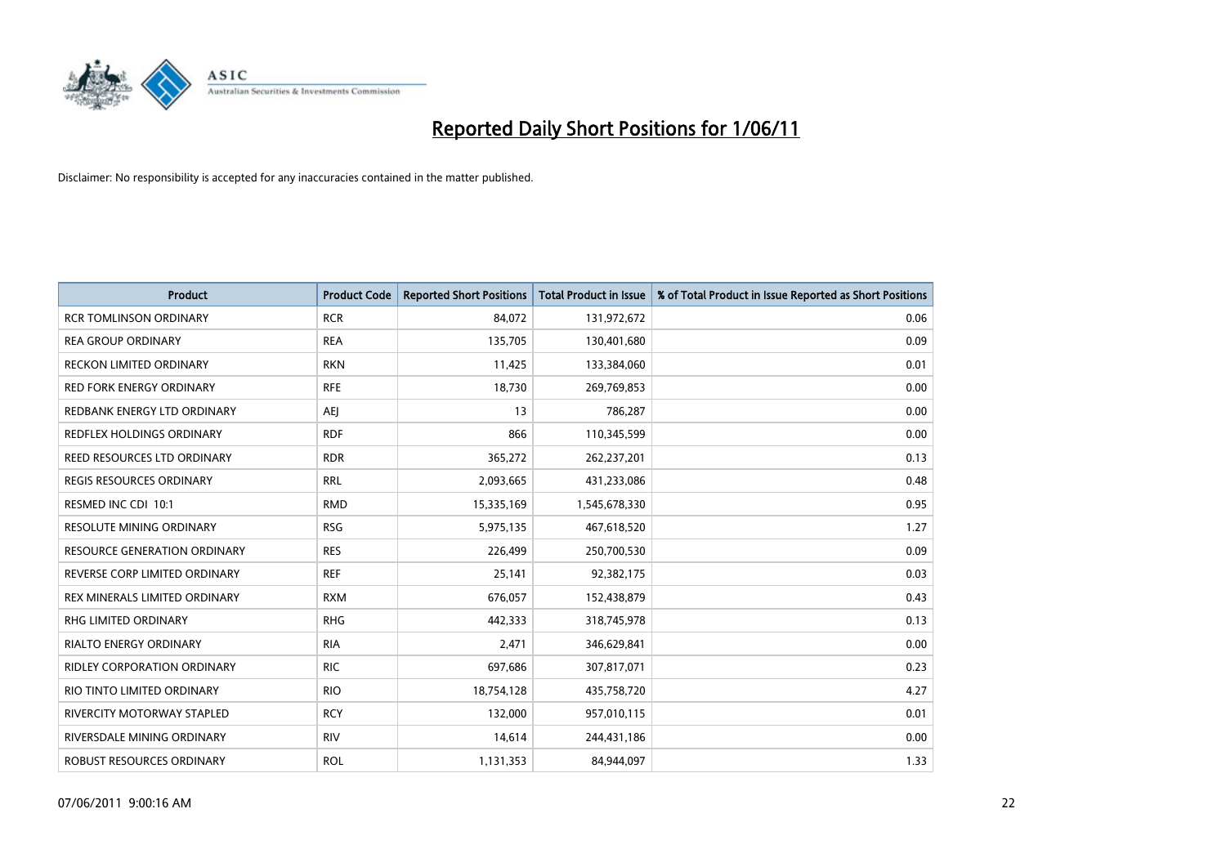

| <b>Product</b>                     | <b>Product Code</b> | <b>Reported Short Positions</b> | Total Product in Issue | % of Total Product in Issue Reported as Short Positions |
|------------------------------------|---------------------|---------------------------------|------------------------|---------------------------------------------------------|
| <b>RCR TOMLINSON ORDINARY</b>      | <b>RCR</b>          | 84,072                          | 131,972,672            | 0.06                                                    |
| <b>REA GROUP ORDINARY</b>          | <b>REA</b>          | 135,705                         | 130,401,680            | 0.09                                                    |
| <b>RECKON LIMITED ORDINARY</b>     | <b>RKN</b>          | 11,425                          | 133,384,060            | 0.01                                                    |
| <b>RED FORK ENERGY ORDINARY</b>    | <b>RFE</b>          | 18,730                          | 269,769,853            | 0.00                                                    |
| REDBANK ENERGY LTD ORDINARY        | <b>AEI</b>          | 13                              | 786,287                | 0.00                                                    |
| REDFLEX HOLDINGS ORDINARY          | <b>RDF</b>          | 866                             | 110,345,599            | 0.00                                                    |
| REED RESOURCES LTD ORDINARY        | <b>RDR</b>          | 365,272                         | 262,237,201            | 0.13                                                    |
| REGIS RESOURCES ORDINARY           | <b>RRL</b>          | 2,093,665                       | 431,233,086            | 0.48                                                    |
| RESMED INC CDI 10:1                | <b>RMD</b>          | 15,335,169                      | 1,545,678,330          | 0.95                                                    |
| <b>RESOLUTE MINING ORDINARY</b>    | <b>RSG</b>          | 5,975,135                       | 467,618,520            | 1.27                                                    |
| RESOURCE GENERATION ORDINARY       | <b>RES</b>          | 226,499                         | 250,700,530            | 0.09                                                    |
| REVERSE CORP LIMITED ORDINARY      | <b>REF</b>          | 25,141                          | 92,382,175             | 0.03                                                    |
| REX MINERALS LIMITED ORDINARY      | <b>RXM</b>          | 676,057                         | 152,438,879            | 0.43                                                    |
| <b>RHG LIMITED ORDINARY</b>        | <b>RHG</b>          | 442,333                         | 318,745,978            | 0.13                                                    |
| <b>RIALTO ENERGY ORDINARY</b>      | <b>RIA</b>          | 2,471                           | 346,629,841            | 0.00                                                    |
| <b>RIDLEY CORPORATION ORDINARY</b> | <b>RIC</b>          | 697,686                         | 307,817,071            | 0.23                                                    |
| RIO TINTO LIMITED ORDINARY         | <b>RIO</b>          | 18,754,128                      | 435,758,720            | 4.27                                                    |
| RIVERCITY MOTORWAY STAPLED         | <b>RCY</b>          | 132,000                         | 957,010,115            | 0.01                                                    |
| RIVERSDALE MINING ORDINARY         | <b>RIV</b>          | 14,614                          | 244,431,186            | 0.00                                                    |
| ROBUST RESOURCES ORDINARY          | <b>ROL</b>          | 1,131,353                       | 84,944,097             | 1.33                                                    |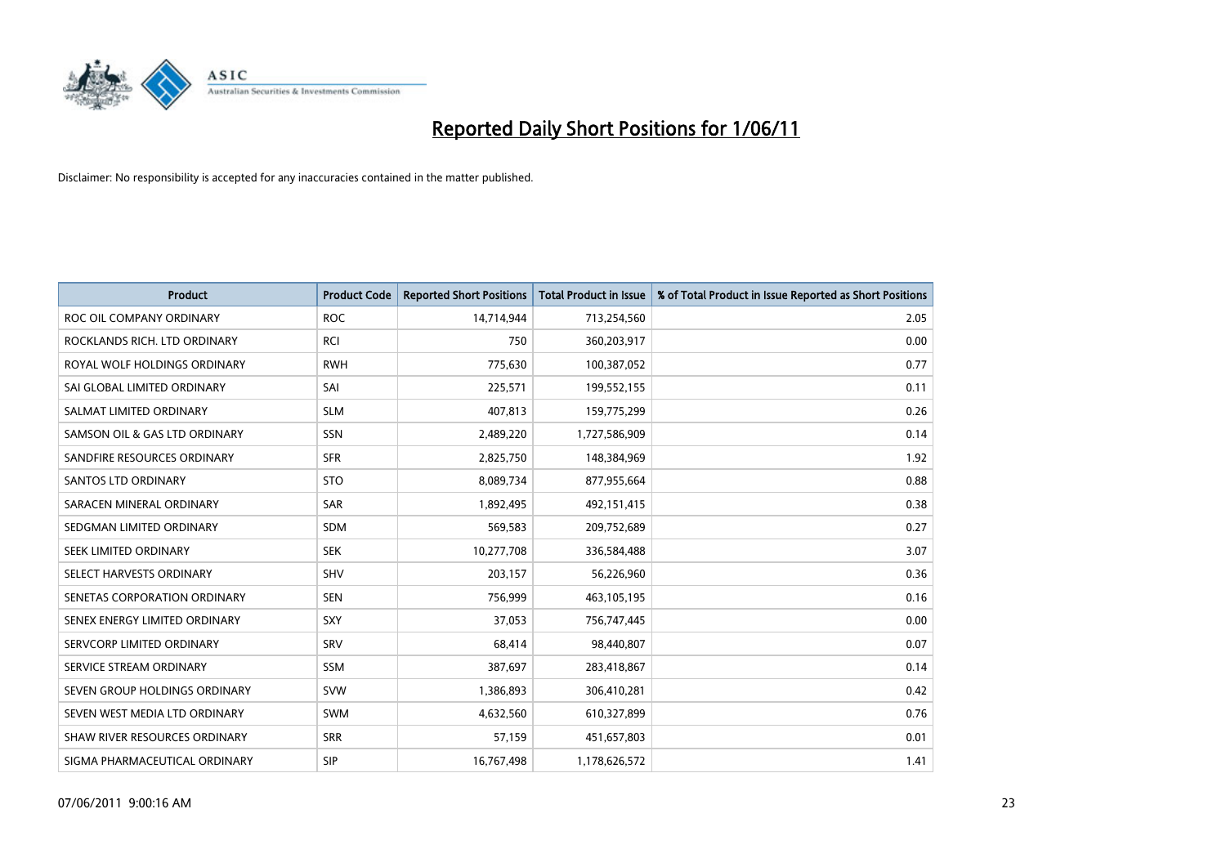

| <b>Product</b>                | <b>Product Code</b> | <b>Reported Short Positions</b> | <b>Total Product in Issue</b> | % of Total Product in Issue Reported as Short Positions |
|-------------------------------|---------------------|---------------------------------|-------------------------------|---------------------------------------------------------|
| ROC OIL COMPANY ORDINARY      | <b>ROC</b>          | 14,714,944                      | 713,254,560                   | 2.05                                                    |
| ROCKLANDS RICH. LTD ORDINARY  | <b>RCI</b>          | 750                             | 360,203,917                   | 0.00                                                    |
| ROYAL WOLF HOLDINGS ORDINARY  | <b>RWH</b>          | 775,630                         | 100,387,052                   | 0.77                                                    |
| SAI GLOBAL LIMITED ORDINARY   | SAI                 | 225,571                         | 199,552,155                   | 0.11                                                    |
| SALMAT LIMITED ORDINARY       | <b>SLM</b>          | 407.813                         | 159,775,299                   | 0.26                                                    |
| SAMSON OIL & GAS LTD ORDINARY | SSN                 | 2,489,220                       | 1,727,586,909                 | 0.14                                                    |
| SANDFIRE RESOURCES ORDINARY   | <b>SFR</b>          | 2,825,750                       | 148,384,969                   | 1.92                                                    |
| <b>SANTOS LTD ORDINARY</b>    | <b>STO</b>          | 8,089,734                       | 877,955,664                   | 0.88                                                    |
| SARACEN MINERAL ORDINARY      | <b>SAR</b>          | 1,892,495                       | 492,151,415                   | 0.38                                                    |
| SEDGMAN LIMITED ORDINARY      | <b>SDM</b>          | 569,583                         | 209,752,689                   | 0.27                                                    |
| SEEK LIMITED ORDINARY         | <b>SEK</b>          | 10,277,708                      | 336,584,488                   | 3.07                                                    |
| SELECT HARVESTS ORDINARY      | SHV                 | 203,157                         | 56,226,960                    | 0.36                                                    |
| SENETAS CORPORATION ORDINARY  | <b>SEN</b>          | 756,999                         | 463,105,195                   | 0.16                                                    |
| SENEX ENERGY LIMITED ORDINARY | SXY                 | 37,053                          | 756,747,445                   | 0.00                                                    |
| SERVCORP LIMITED ORDINARY     | SRV                 | 68,414                          | 98,440,807                    | 0.07                                                    |
| SERVICE STREAM ORDINARY       | <b>SSM</b>          | 387,697                         | 283,418,867                   | 0.14                                                    |
| SEVEN GROUP HOLDINGS ORDINARY | <b>SVW</b>          | 1,386,893                       | 306,410,281                   | 0.42                                                    |
| SEVEN WEST MEDIA LTD ORDINARY | <b>SWM</b>          | 4,632,560                       | 610,327,899                   | 0.76                                                    |
| SHAW RIVER RESOURCES ORDINARY | <b>SRR</b>          | 57,159                          | 451,657,803                   | 0.01                                                    |
| SIGMA PHARMACEUTICAL ORDINARY | SIP                 | 16,767,498                      | 1,178,626,572                 | 1.41                                                    |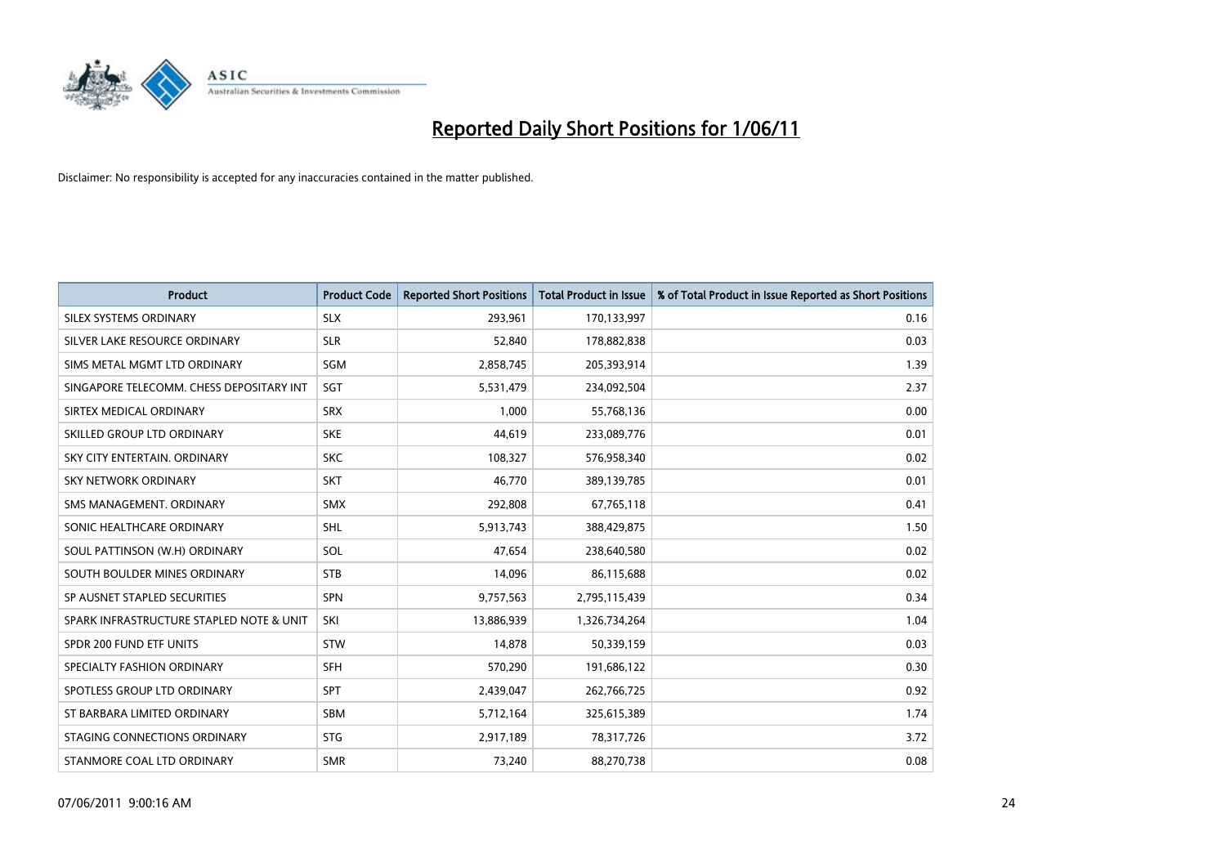

| <b>Product</b>                           | <b>Product Code</b> | <b>Reported Short Positions</b> | Total Product in Issue | % of Total Product in Issue Reported as Short Positions |
|------------------------------------------|---------------------|---------------------------------|------------------------|---------------------------------------------------------|
| SILEX SYSTEMS ORDINARY                   | <b>SLX</b>          | 293,961                         | 170,133,997            | 0.16                                                    |
| SILVER LAKE RESOURCE ORDINARY            | <b>SLR</b>          | 52,840                          | 178,882,838            | 0.03                                                    |
| SIMS METAL MGMT LTD ORDINARY             | SGM                 | 2,858,745                       | 205,393,914            | 1.39                                                    |
| SINGAPORE TELECOMM. CHESS DEPOSITARY INT | SGT                 | 5,531,479                       | 234,092,504            | 2.37                                                    |
| SIRTEX MEDICAL ORDINARY                  | <b>SRX</b>          | 1.000                           | 55,768,136             | 0.00                                                    |
| SKILLED GROUP LTD ORDINARY               | <b>SKE</b>          | 44,619                          | 233,089,776            | 0.01                                                    |
| SKY CITY ENTERTAIN, ORDINARY             | <b>SKC</b>          | 108,327                         | 576,958,340            | 0.02                                                    |
| <b>SKY NETWORK ORDINARY</b>              | <b>SKT</b>          | 46,770                          | 389,139,785            | 0.01                                                    |
| SMS MANAGEMENT. ORDINARY                 | <b>SMX</b>          | 292,808                         | 67,765,118             | 0.41                                                    |
| SONIC HEALTHCARE ORDINARY                | <b>SHL</b>          | 5,913,743                       | 388,429,875            | 1.50                                                    |
| SOUL PATTINSON (W.H) ORDINARY            | SOL                 | 47,654                          | 238,640,580            | 0.02                                                    |
| SOUTH BOULDER MINES ORDINARY             | <b>STB</b>          | 14,096                          | 86,115,688             | 0.02                                                    |
| SP AUSNET STAPLED SECURITIES             | <b>SPN</b>          | 9,757,563                       | 2,795,115,439          | 0.34                                                    |
| SPARK INFRASTRUCTURE STAPLED NOTE & UNIT | SKI                 | 13,886,939                      | 1,326,734,264          | 1.04                                                    |
| SPDR 200 FUND ETF UNITS                  | <b>STW</b>          | 14,878                          | 50,339,159             | 0.03                                                    |
| SPECIALTY FASHION ORDINARY               | SFH                 | 570,290                         | 191,686,122            | 0.30                                                    |
| SPOTLESS GROUP LTD ORDINARY              | <b>SPT</b>          | 2,439,047                       | 262,766,725            | 0.92                                                    |
| ST BARBARA LIMITED ORDINARY              | <b>SBM</b>          | 5,712,164                       | 325,615,389            | 1.74                                                    |
| STAGING CONNECTIONS ORDINARY             | <b>STG</b>          | 2,917,189                       | 78,317,726             | 3.72                                                    |
| STANMORE COAL LTD ORDINARY               | <b>SMR</b>          | 73,240                          | 88,270,738             | 0.08                                                    |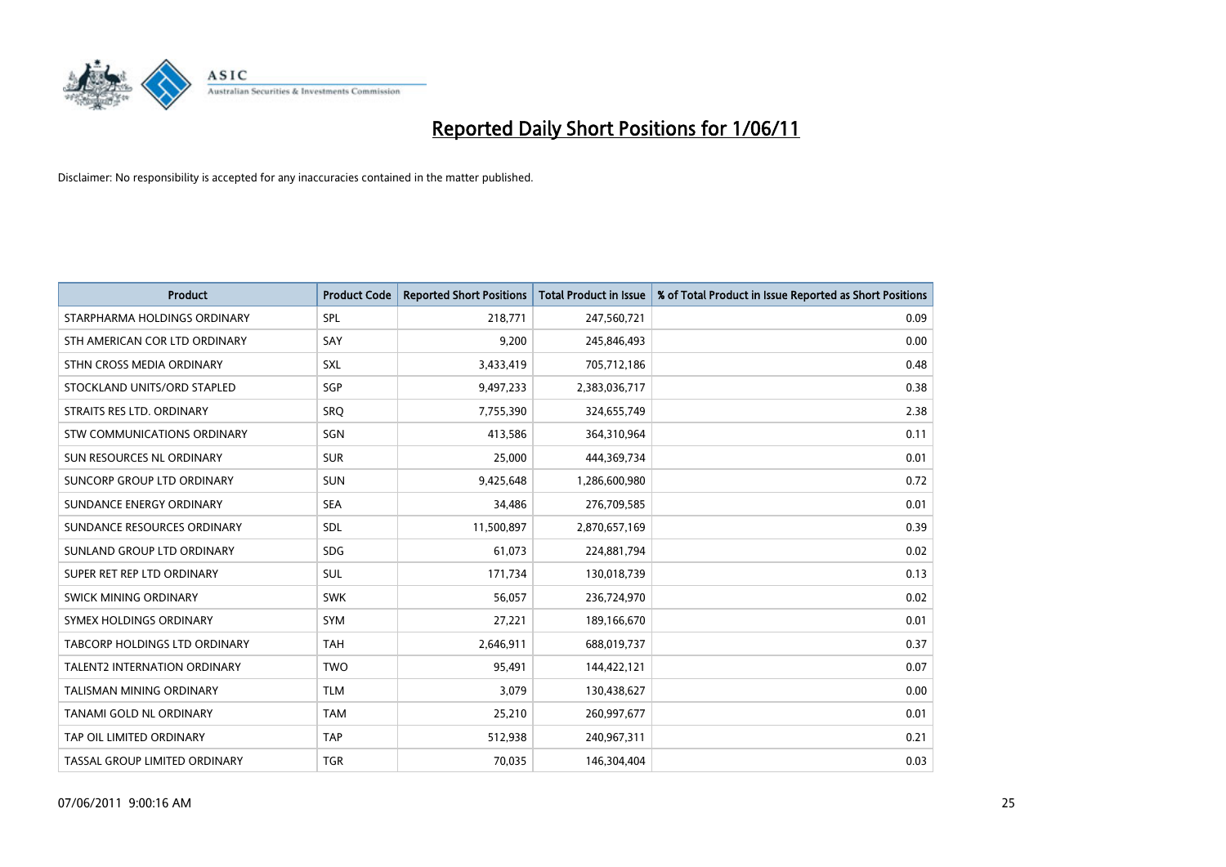

| <b>Product</b>                      | <b>Product Code</b> | <b>Reported Short Positions</b> | <b>Total Product in Issue</b> | % of Total Product in Issue Reported as Short Positions |
|-------------------------------------|---------------------|---------------------------------|-------------------------------|---------------------------------------------------------|
| STARPHARMA HOLDINGS ORDINARY        | SPL                 | 218,771                         | 247,560,721                   | 0.09                                                    |
| STH AMERICAN COR LTD ORDINARY       | SAY                 | 9,200                           | 245,846,493                   | 0.00                                                    |
| STHN CROSS MEDIA ORDINARY           | <b>SXL</b>          | 3,433,419                       | 705,712,186                   | 0.48                                                    |
| STOCKLAND UNITS/ORD STAPLED         | SGP                 | 9,497,233                       | 2,383,036,717                 | 0.38                                                    |
| STRAITS RES LTD. ORDINARY           | SRO                 | 7,755,390                       | 324,655,749                   | 2.38                                                    |
| STW COMMUNICATIONS ORDINARY         | SGN                 | 413,586                         | 364,310,964                   | 0.11                                                    |
| SUN RESOURCES NL ORDINARY           | <b>SUR</b>          | 25,000                          | 444,369,734                   | 0.01                                                    |
| SUNCORP GROUP LTD ORDINARY          | <b>SUN</b>          | 9,425,648                       | 1,286,600,980                 | 0.72                                                    |
| SUNDANCE ENERGY ORDINARY            | <b>SEA</b>          | 34,486                          | 276,709,585                   | 0.01                                                    |
| SUNDANCE RESOURCES ORDINARY         | <b>SDL</b>          | 11,500,897                      | 2,870,657,169                 | 0.39                                                    |
| SUNLAND GROUP LTD ORDINARY          | <b>SDG</b>          | 61,073                          | 224,881,794                   | 0.02                                                    |
| SUPER RET REP LTD ORDINARY          | <b>SUL</b>          | 171,734                         | 130,018,739                   | 0.13                                                    |
| SWICK MINING ORDINARY               | <b>SWK</b>          | 56,057                          | 236,724,970                   | 0.02                                                    |
| SYMEX HOLDINGS ORDINARY             | SYM                 | 27,221                          | 189,166,670                   | 0.01                                                    |
| TABCORP HOLDINGS LTD ORDINARY       | <b>TAH</b>          | 2,646,911                       | 688,019,737                   | 0.37                                                    |
| <b>TALENT2 INTERNATION ORDINARY</b> | <b>TWO</b>          | 95,491                          | 144,422,121                   | 0.07                                                    |
| TALISMAN MINING ORDINARY            | <b>TLM</b>          | 3,079                           | 130,438,627                   | 0.00                                                    |
| TANAMI GOLD NL ORDINARY             | <b>TAM</b>          | 25,210                          | 260,997,677                   | 0.01                                                    |
| TAP OIL LIMITED ORDINARY            | <b>TAP</b>          | 512,938                         | 240,967,311                   | 0.21                                                    |
| TASSAL GROUP LIMITED ORDINARY       | <b>TGR</b>          | 70,035                          | 146,304,404                   | 0.03                                                    |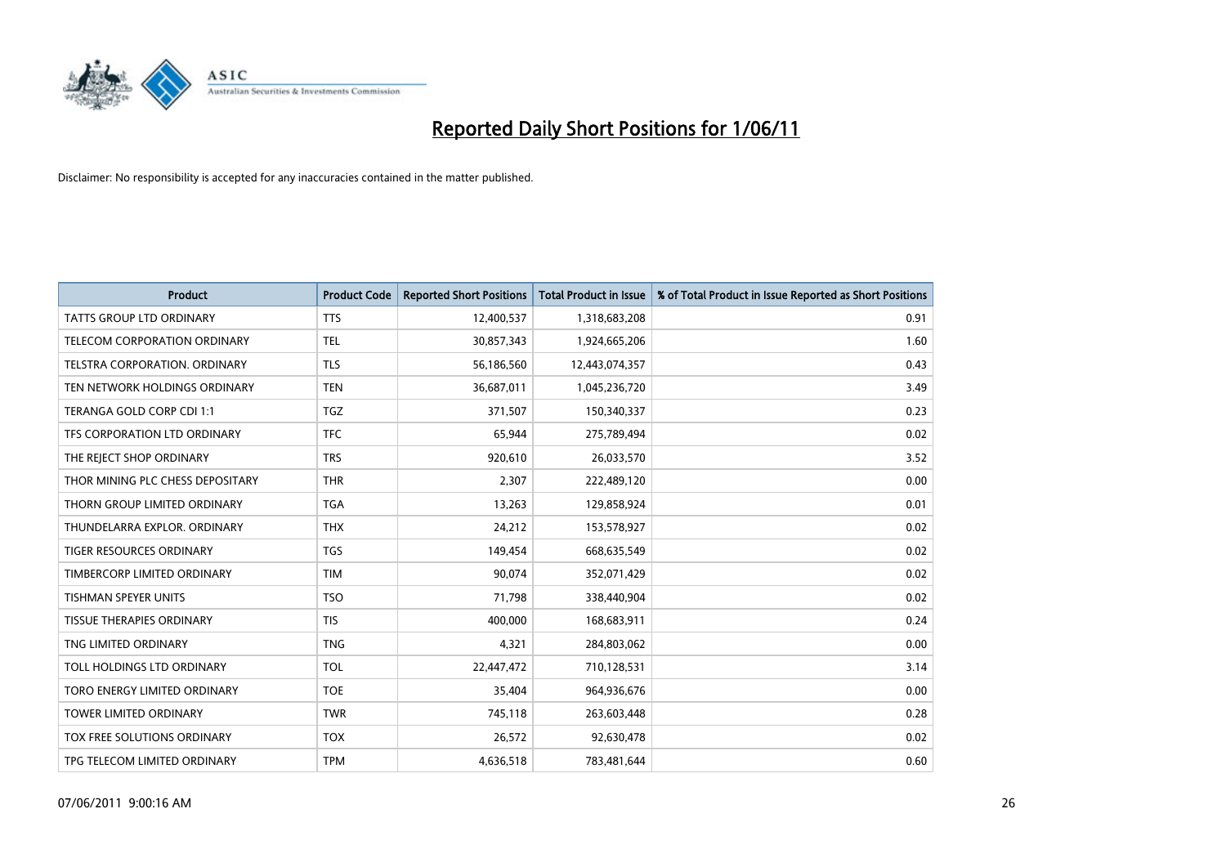

| <b>Product</b>                       | <b>Product Code</b> | <b>Reported Short Positions</b> | <b>Total Product in Issue</b> | % of Total Product in Issue Reported as Short Positions |
|--------------------------------------|---------------------|---------------------------------|-------------------------------|---------------------------------------------------------|
| <b>TATTS GROUP LTD ORDINARY</b>      | <b>TTS</b>          | 12,400,537                      | 1,318,683,208                 | 0.91                                                    |
| TELECOM CORPORATION ORDINARY         | <b>TEL</b>          | 30,857,343                      | 1,924,665,206                 | 1.60                                                    |
| <b>TELSTRA CORPORATION, ORDINARY</b> | <b>TLS</b>          | 56,186,560                      | 12,443,074,357                | 0.43                                                    |
| TEN NETWORK HOLDINGS ORDINARY        | <b>TEN</b>          | 36,687,011                      | 1,045,236,720                 | 3.49                                                    |
| TERANGA GOLD CORP CDI 1:1            | <b>TGZ</b>          | 371,507                         | 150,340,337                   | 0.23                                                    |
| TFS CORPORATION LTD ORDINARY         | <b>TFC</b>          | 65.944                          | 275,789,494                   | 0.02                                                    |
| THE REJECT SHOP ORDINARY             | <b>TRS</b>          | 920,610                         | 26,033,570                    | 3.52                                                    |
| THOR MINING PLC CHESS DEPOSITARY     | <b>THR</b>          | 2,307                           | 222,489,120                   | 0.00                                                    |
| THORN GROUP LIMITED ORDINARY         | <b>TGA</b>          | 13,263                          | 129,858,924                   | 0.01                                                    |
| THUNDELARRA EXPLOR, ORDINARY         | <b>THX</b>          | 24,212                          | 153,578,927                   | 0.02                                                    |
| TIGER RESOURCES ORDINARY             | <b>TGS</b>          | 149,454                         | 668,635,549                   | 0.02                                                    |
| TIMBERCORP LIMITED ORDINARY          | <b>TIM</b>          | 90,074                          | 352,071,429                   | 0.02                                                    |
| <b>TISHMAN SPEYER UNITS</b>          | <b>TSO</b>          | 71,798                          | 338,440,904                   | 0.02                                                    |
| TISSUE THERAPIES ORDINARY            | <b>TIS</b>          | 400.000                         | 168,683,911                   | 0.24                                                    |
| TNG LIMITED ORDINARY                 | <b>TNG</b>          | 4,321                           | 284,803,062                   | 0.00                                                    |
| TOLL HOLDINGS LTD ORDINARY           | <b>TOL</b>          | 22,447,472                      | 710,128,531                   | 3.14                                                    |
| TORO ENERGY LIMITED ORDINARY         | <b>TOE</b>          | 35,404                          | 964,936,676                   | 0.00                                                    |
| TOWER LIMITED ORDINARY               | <b>TWR</b>          | 745,118                         | 263,603,448                   | 0.28                                                    |
| TOX FREE SOLUTIONS ORDINARY          | <b>TOX</b>          | 26,572                          | 92,630,478                    | 0.02                                                    |
| TPG TELECOM LIMITED ORDINARY         | <b>TPM</b>          | 4,636,518                       | 783,481,644                   | 0.60                                                    |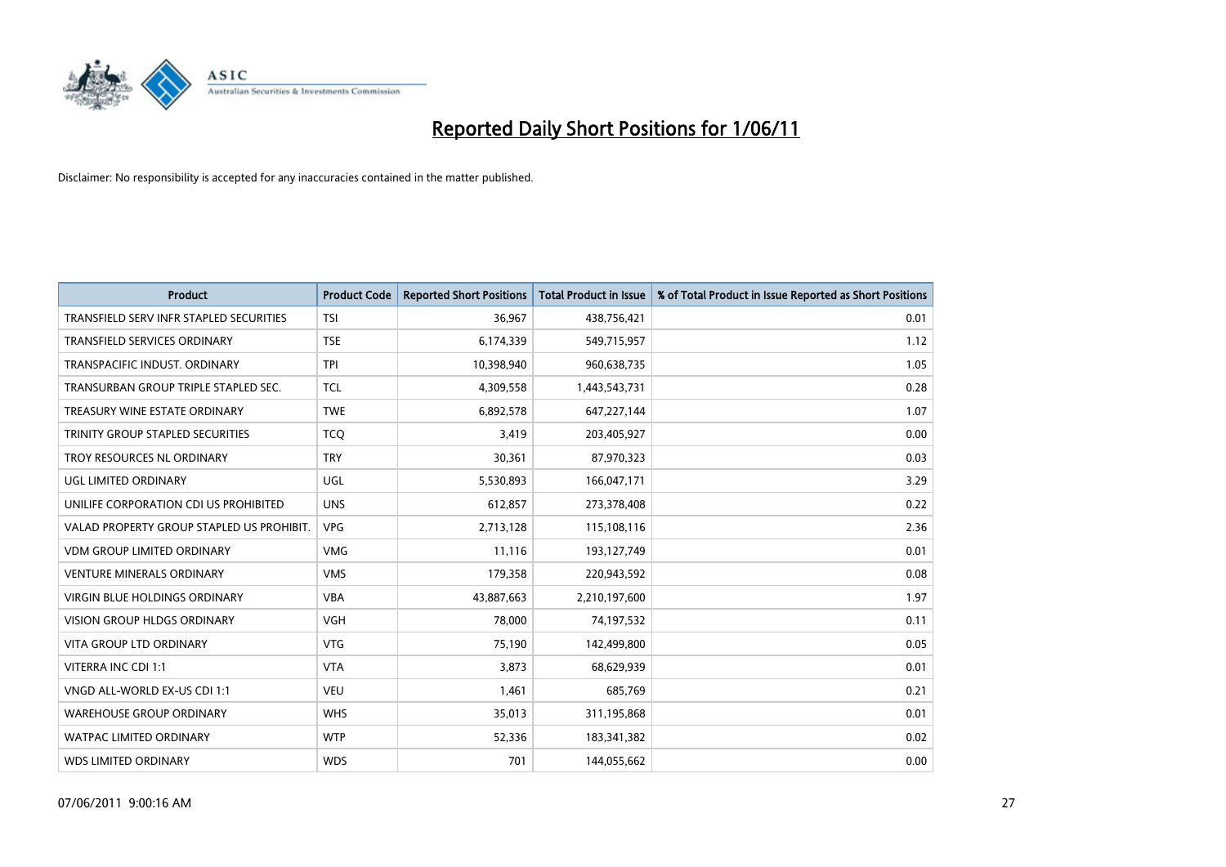

| <b>Product</b>                            | <b>Product Code</b> | <b>Reported Short Positions</b> | <b>Total Product in Issue</b> | % of Total Product in Issue Reported as Short Positions |
|-------------------------------------------|---------------------|---------------------------------|-------------------------------|---------------------------------------------------------|
| TRANSFIELD SERV INFR STAPLED SECURITIES   | <b>TSI</b>          | 36,967                          | 438,756,421                   | 0.01                                                    |
| TRANSFIELD SERVICES ORDINARY              | <b>TSE</b>          | 6,174,339                       | 549,715,957                   | 1.12                                                    |
| TRANSPACIFIC INDUST, ORDINARY             | <b>TPI</b>          | 10,398,940                      | 960,638,735                   | 1.05                                                    |
| TRANSURBAN GROUP TRIPLE STAPLED SEC.      | <b>TCL</b>          | 4,309,558                       | 1,443,543,731                 | 0.28                                                    |
| TREASURY WINE ESTATE ORDINARY             | <b>TWE</b>          | 6,892,578                       | 647,227,144                   | 1.07                                                    |
| TRINITY GROUP STAPLED SECURITIES          | <b>TCQ</b>          | 3,419                           | 203,405,927                   | 0.00                                                    |
| TROY RESOURCES NL ORDINARY                | <b>TRY</b>          | 30,361                          | 87,970,323                    | 0.03                                                    |
| UGL LIMITED ORDINARY                      | UGL                 | 5,530,893                       | 166,047,171                   | 3.29                                                    |
| UNILIFE CORPORATION CDI US PROHIBITED     | <b>UNS</b>          | 612,857                         | 273,378,408                   | 0.22                                                    |
| VALAD PROPERTY GROUP STAPLED US PROHIBIT. | <b>VPG</b>          | 2,713,128                       | 115,108,116                   | 2.36                                                    |
| VDM GROUP LIMITED ORDINARY                | <b>VMG</b>          | 11,116                          | 193,127,749                   | 0.01                                                    |
| <b>VENTURE MINERALS ORDINARY</b>          | <b>VMS</b>          | 179,358                         | 220,943,592                   | 0.08                                                    |
| VIRGIN BLUE HOLDINGS ORDINARY             | <b>VBA</b>          | 43,887,663                      | 2,210,197,600                 | 1.97                                                    |
| <b>VISION GROUP HLDGS ORDINARY</b>        | <b>VGH</b>          | 78,000                          | 74,197,532                    | 0.11                                                    |
| <b>VITA GROUP LTD ORDINARY</b>            | <b>VTG</b>          | 75,190                          | 142,499,800                   | 0.05                                                    |
| VITERRA INC CDI 1:1                       | <b>VTA</b>          | 3,873                           | 68,629,939                    | 0.01                                                    |
| VNGD ALL-WORLD EX-US CDI 1:1              | <b>VEU</b>          | 1,461                           | 685,769                       | 0.21                                                    |
| <b>WAREHOUSE GROUP ORDINARY</b>           | <b>WHS</b>          | 35,013                          | 311,195,868                   | 0.01                                                    |
| <b>WATPAC LIMITED ORDINARY</b>            | <b>WTP</b>          | 52,336                          | 183,341,382                   | 0.02                                                    |
| <b>WDS LIMITED ORDINARY</b>               | <b>WDS</b>          | 701                             | 144,055,662                   | 0.00                                                    |